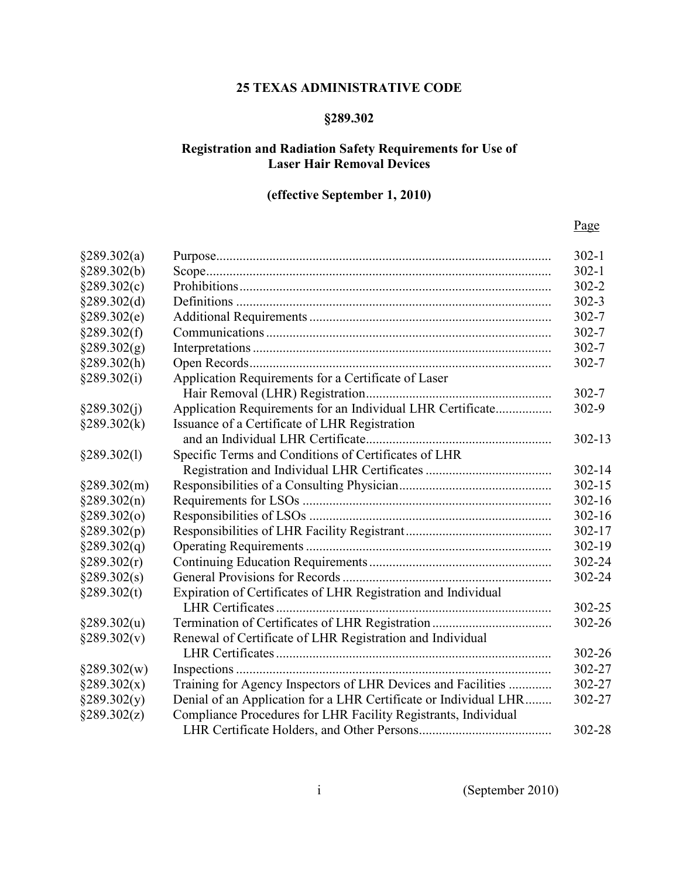## 25 TEXAS ADMINISTRATIVE CODE

# §289.302

## Registration and Radiation Safety Requirements for Use of Laser Hair Removal Devices

## (effective September 1, 2010)

## Page

| §289.302(a)     |                                                                  | $302 - 1$  |
|-----------------|------------------------------------------------------------------|------------|
| §289.302(b)     |                                                                  | $302 - 1$  |
| §289.302(c)     |                                                                  | $302 - 2$  |
| §289.302(d)     |                                                                  | $302 - 3$  |
| §289.302(e)     |                                                                  | $302 - 7$  |
| §289.302(f)     |                                                                  | $302 - 7$  |
| §289.302(g)     |                                                                  | $302 - 7$  |
| §289.302(h)     |                                                                  | $302 - 7$  |
| §289.302(i)     | Application Requirements for a Certificate of Laser              |            |
|                 |                                                                  | $302 - 7$  |
| §289.302(j)     | Application Requirements for an Individual LHR Certificate       | 302-9      |
| $\S 289.302(k)$ | Issuance of a Certificate of LHR Registration                    |            |
|                 |                                                                  | $302 - 13$ |
| §289.302(1)     | Specific Terms and Conditions of Certificates of LHR             |            |
|                 |                                                                  | 302-14     |
| §289.302(m)     |                                                                  | $302 - 15$ |
| §289.302(n)     |                                                                  | 302-16     |
| §289.302(0)     |                                                                  | $302 - 16$ |
| §289.302(p)     |                                                                  | 302-17     |
| §289.302(q)     |                                                                  | 302-19     |
| §289.302(r)     |                                                                  | 302-24     |
| §289.302(s)     |                                                                  | 302-24     |
| §289.302(t)     | Expiration of Certificates of LHR Registration and Individual    |            |
|                 |                                                                  | 302-25     |
| §289.302(u)     |                                                                  | 302-26     |
| §289.302(v)     | Renewal of Certificate of LHR Registration and Individual        |            |
|                 |                                                                  | 302-26     |
| §289.302(w)     |                                                                  | 302-27     |
| §289.302(x)     | Training for Agency Inspectors of LHR Devices and Facilities     | 302-27     |
| §289.302(y)     | Denial of an Application for a LHR Certificate or Individual LHR | 302-27     |
| §289.302(z)     | Compliance Procedures for LHR Facility Registrants, Individual   |            |
|                 |                                                                  | 302-28     |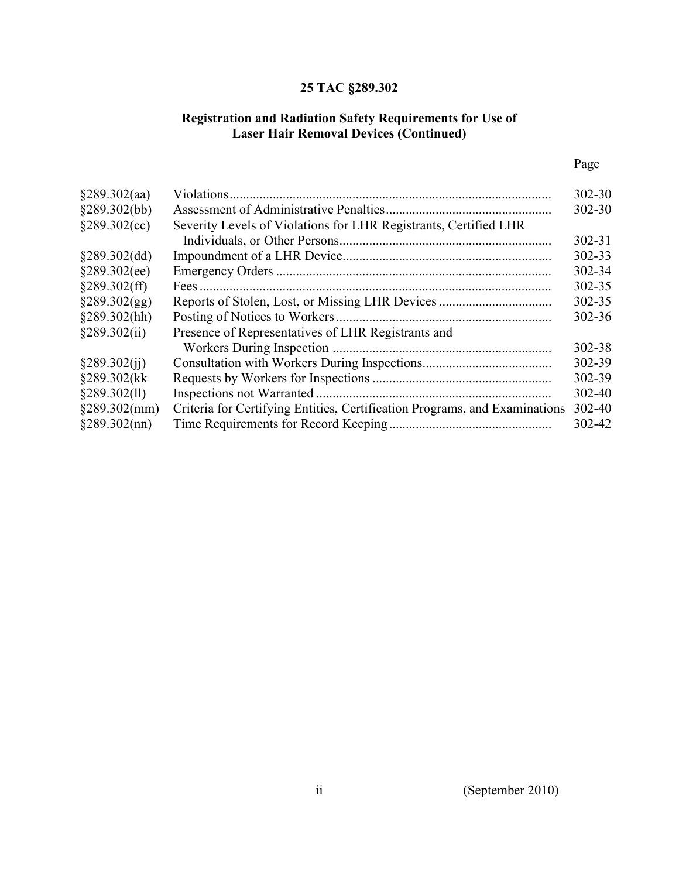## 25 TAC §289.302

## and Radiation Safety Requirements for Use of **Hair Removal Devices** Registration and Radiation Safety Requirements for Use of Laser Hair Removal Devices (Continued)

| §289.302(aa)    | Violations                                                                 | 302-30     |
|-----------------|----------------------------------------------------------------------------|------------|
| §289.302(bb)    |                                                                            | 302-30     |
| §289.302(cc)    | Severity Levels of Violations for LHR Registrants, Certified LHR           |            |
|                 |                                                                            | $302 - 31$ |
| §289.302(dd)    |                                                                            | 302-33     |
| §289.302(ee)    |                                                                            | 302-34     |
| §289.302(ff)    |                                                                            | 302-35     |
| §289.302(gg)    |                                                                            | 302-35     |
| §289.302(hh)    |                                                                            | 302-36     |
| §289.302(ii)    | Presence of Representatives of LHR Registrants and                         |            |
|                 |                                                                            | 302-38     |
| §289.302(ii)    |                                                                            | 302-39     |
| §289.302(kk     |                                                                            | 302-39     |
| §289.302(11)    |                                                                            | 302-40     |
| §289.302(mm)    | Criteria for Certifying Entities, Certification Programs, and Examinations | 302-40     |
| $§289.302$ (nn) |                                                                            | 302-42     |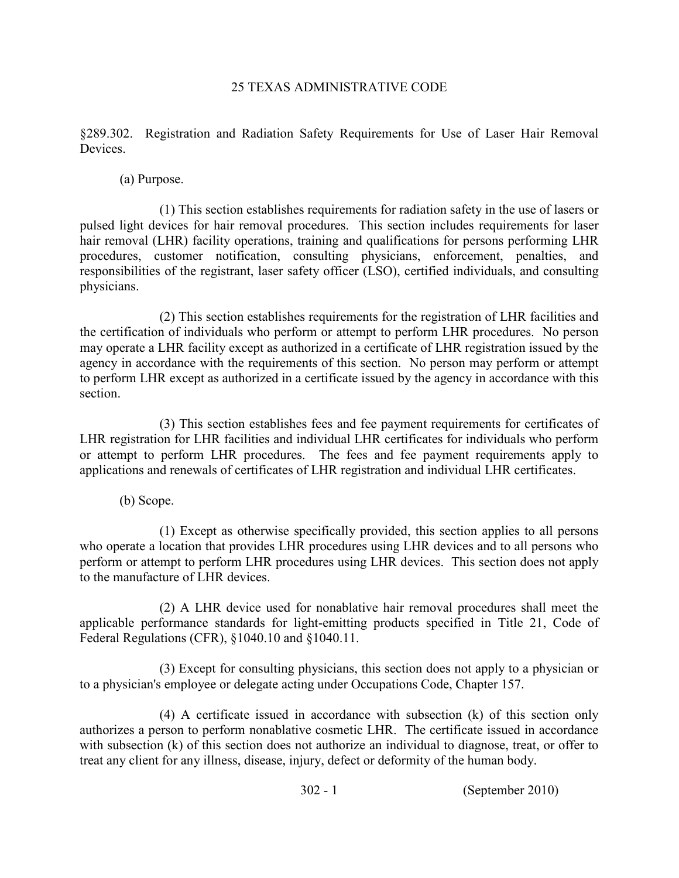## 25 TEXAS ADMINISTRATIVE CODE

 §289.302. Registration and Radiation Safety Requirements for Use of Laser Hair Removal Devices.

(a) Purpose.

 (1) This section establishes requirements for radiation safety in the use of lasers or pulsed light devices for hair removal procedures. This section includes requirements for laser hair removal (LHR) facility operations, training and qualifications for persons performing LHR procedures, customer notification, consulting physicians, enforcement, penalties, and responsibilities of the registrant, laser safety officer (LSO), certified individuals, and consulting physicians.

 (2) This section establishes requirements for the registration of LHR facilities and the certification of individuals who perform or attempt to perform LHR procedures. No person may operate a LHR facility except as authorized in a certificate of LHR registration issued by the agency in accordance with the requirements of this section. No person may perform or attempt to perform LHR except as authorized in a certificate issued by the agency in accordance with this section.

 (3) This section establishes fees and fee payment requirements for certificates of LHR registration for LHR facilities and individual LHR certificates for individuals who perform or attempt to perform LHR procedures. The fees and fee payment requirements apply to applications and renewals of certificates of LHR registration and individual LHR certificates.

(b) Scope.

 (1) Except as otherwise specifically provided, this section applies to all persons who operate a location that provides LHR procedures using LHR devices and to all persons who perform or attempt to perform LHR procedures using LHR devices. This section does not apply to the manufacture of LHR devices.

 (2) A LHR device used for nonablative hair removal procedures shall meet the applicable performance standards for light-emitting products specified in Title 21, Code of Federal Regulations (CFR), §1040.10 and §1040.11.

 (3) Except for consulting physicians, this section does not apply to a physician or to a physician's employee or delegate acting under Occupations Code, Chapter 157.

 (4) A certificate issued in accordance with subsection (k) of this section only authorizes a person to perform nonablative cosmetic LHR. The certificate issued in accordance with subsection (k) of this section does not authorize an individual to diagnose, treat, or offer to treat any client for any illness, disease, injury, defect or deformity of the human body.

302 1 (September 2010)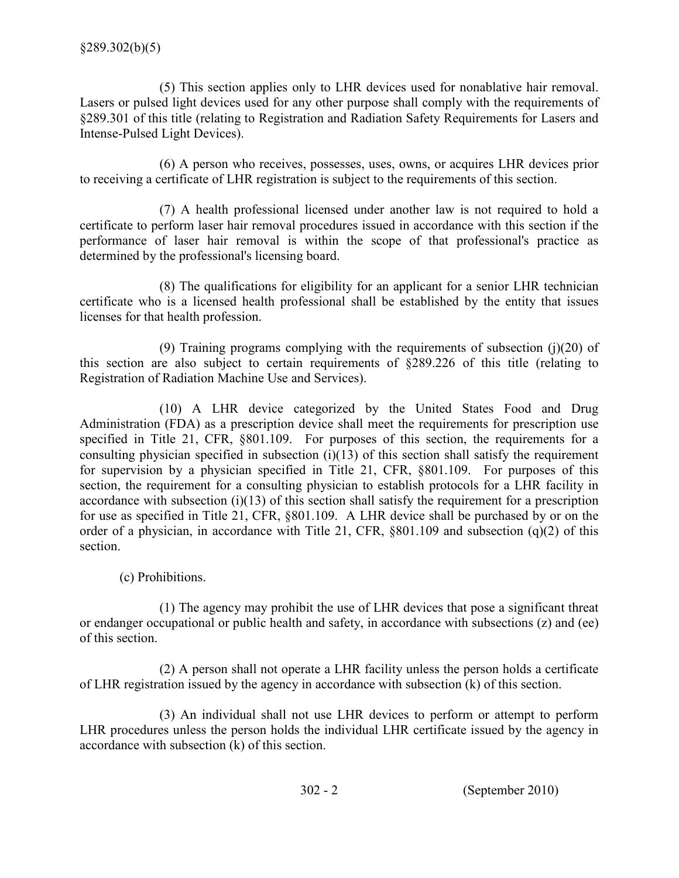(5) This section applies only to LHR devices used for nonablative hair removal. Lasers or pulsed light devices used for any other purpose shall comply with the requirements of §289.301 of this title (relating to Registration and Radiation Safety Requirements for Lasers and Intense-Pulsed Light Devices).

 (6) A person who receives, possesses, uses, owns, or acquires LHR devices prior to receiving a certificate of LHR registration is subject to the requirements of this section.

 (7) A health professional licensed under another law is not required to hold a certificate to perform laser hair removal procedures issued in accordance with this section if the performance of laser hair removal is within the scope of that professional's practice as determined by the professional's licensing board.

 (8) The qualifications for eligibility for an applicant for a senior LHR technician certificate who is a licensed health professional shall be established by the entity that issues licenses for that health profession.

 (9) Training programs complying with the requirements of subsection (j)(20) of this section are also subject to certain requirements of §289.226 of this title (relating to Registration of Radiation Machine Use and Services).

 (10) A LHR device categorized by the United States Food and Drug Administration (FDA) as a prescription device shall meet the requirements for prescription use specified in Title 21, CFR, §801.109. For purposes of this section, the requirements for a consulting physician specified in subsection  $(i)(13)$  of this section shall satisfy the requirement for supervision by a physician specified in Title 21, CFR, §801.109. For purposes of this section, the requirement for a consulting physician to establish protocols for a LHR facility in accordance with subsection (i)(13) of this section shall satisfy the requirement for a prescription for use as specified in Title 21, CFR, §801.109. A LHR device shall be purchased by or on the order of a physician, in accordance with Title 21, CFR, §801.109 and subsection (q)(2) of this section.

(c) Prohibitions.

 (1) The agency may prohibit the use of LHR devices that pose a significant threat or endanger occupational or public health and safety, in accordance with subsections (z) and (ee) of this section.

 of LHR registration issued by the agency in accordance with subsection (k) of this section. (2) A person shall not operate a LHR facility unless the person holds a certificate

 (3) An individual shall not use LHR devices to perform or attempt to perform LHR procedures unless the person holds the individual LHR certificate issued by the agency in accordance with subsection (k) of this section.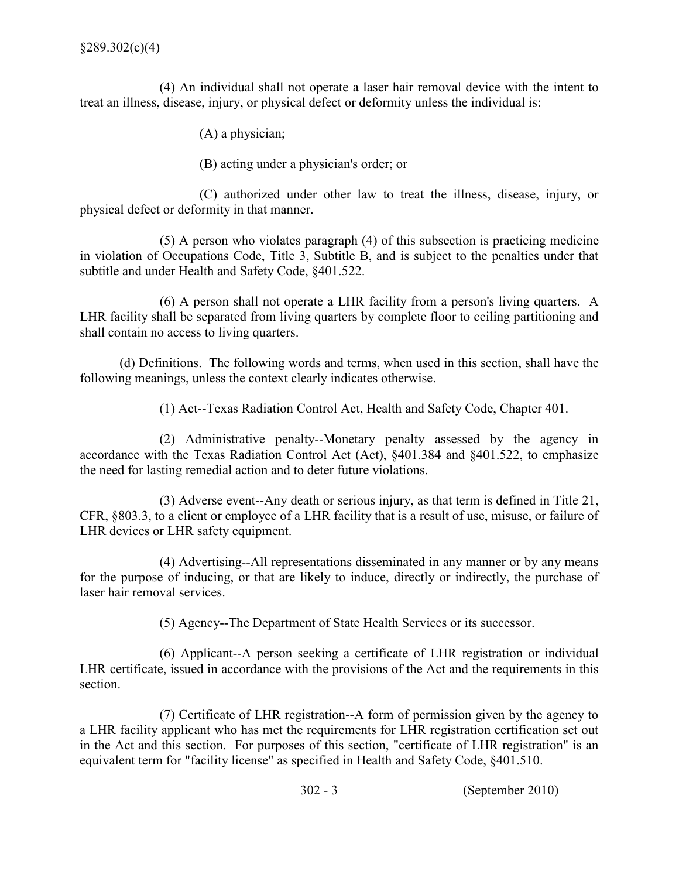(4) An individual shall not operate a laser hair removal device with the intent to treat an illness, disease, injury, or physical defect or deformity unless the individual is:

(A) a physician;

(B) acting under a physician's order; or

 (C) authorized under other law to treat the illness, disease, injury, or physical defect or deformity in that manner.

 in violation of Occupations Code, Title 3, Subtitle B, and is subject to the penalties under that subtitle and under Health and Safety Code, §401.522. (5) A person who violates paragraph (4) of this subsection is practicing medicine

 (6) A person shall not operate a LHR facility from a person's living quarters. A LHR facility shall be separated from living quarters by complete floor to ceiling partitioning and shall contain no access to living quarters.

 (d) Definitions. The following words and terms, when used in this section, shall have the following meanings, unless the context clearly indicates otherwise.

(1) Act-Texas Radiation Control Act, Health and Safety Code, Chapter 401.

(2) Administrative penalty--Monetary penalty assessed by the agency in accordance with the Texas Radiation Control Act (Act), §401.384 and §401.522, to emphasize the need for lasting remedial action and to deter future violations.

(3) Adverse event--Any death or serious injury, as that term is defined in Title 21, CFR, §803.3, to a client or employee of a LHR facility that is a result of use, misuse, or failure of LHR devices or LHR safety equipment.

(4) Advertising--All representations disseminated in any manner or by any means for the purpose of inducing, or that are likely to induce, directly or indirectly, the purchase of laser hair removal services.

(5) Agency--The Department of State Health Services or its successor.

 $(6)$  Applicant--A person seeking a certificate of LHR registration or individual LHR certificate, issued in accordance with the provisions of the Act and the requirements in this section.

(7) Certificate of LHR registration--A form of permission given by the agency to a LHR facility applicant who has met the requirements for LHR registration certification set out in the Act and this section. For purposes of this section, "certificate of LHR registration" is an equivalent term for "facility license" as specified in Health and Safety Code, §401.510.

302 3 (September 2010)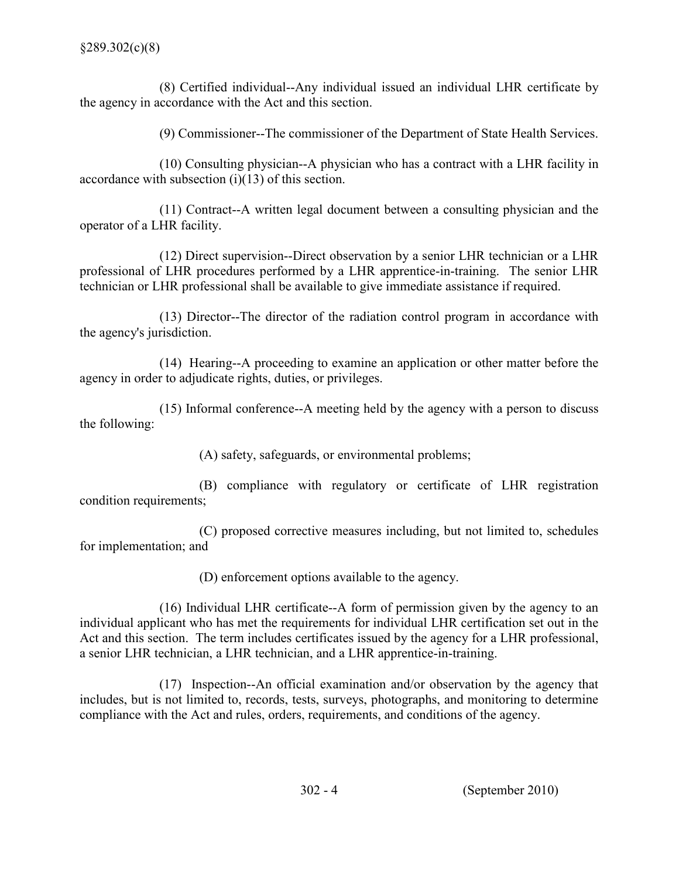$(8)$  Certified individual--Any individual issued an individual LHR certificate by the agency in accordance with the Act and this section.

(9) Commissioner--The commissioner of the Department of State Health Services.

 $(10)$  Consulting physician--A physician who has a contract with a LHR facility in accordance with subsection  $(i)(13)$  of this section.

 $(11)$  Contract--A written legal document between a consulting physician and the operator of a LHR facility.

 $(12)$  Direct supervision--Direct observation by a senior LHR technician or a LHR professional of LHR procedures performed by a LHR apprentice-in-training. The senior LHR technician or LHR professional shall be available to give immediate assistance if required.

 $(13)$  Director-The director of the radiation control program in accordance with the agency's jurisdiction.

 $(14)$  Hearing--A proceeding to examine an application or other matter before the agency in order to adjudicate rights, duties, or privileges.

 $(15)$  Informal conference--A meeting held by the agency with a person to discuss the following:

(A) safety, safeguards, or environmental problems;

 (B) compliance with regulatory or certificate of LHR registration condition requirements;

 (C) proposed corrective measures including, but not limited to, schedules for implementation; and

(D) enforcement options available to the agency.

 $(16)$  Individual LHR certificate--A form of permission given by the agency to an individual applicant who has met the requirements for individual LHR certification set out in the Act and this section. The term includes certificates issued by the agency for a LHR professional, a senior LHR technician, a LHR technician, and a LHR apprentice-in-training.

 $(17)$  Inspection--An official examination and/or observation by the agency that includes, but is not limited to, records, tests, surveys, photographs, and monitoring to determine compliance with the Act and rules, orders, requirements, and conditions of the agency.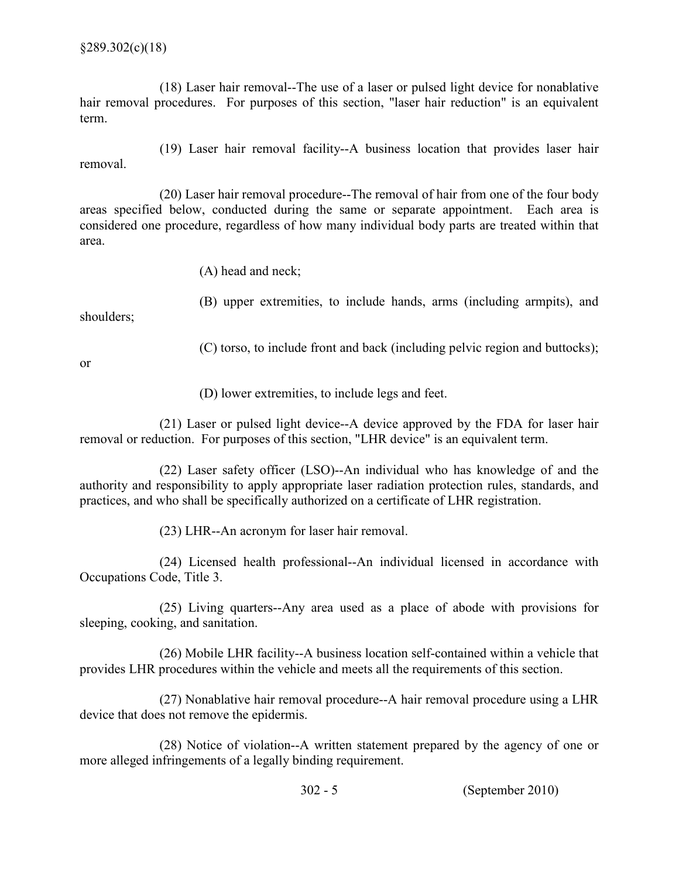$(18)$  Laser hair removal--The use of a laser or pulsed light device for nonablative hair removal procedures. For purposes of this section, "laser hair reduction" is an equivalent term.

 $(19)$  Laser hair removal facility--A business location that provides laser hair removal.

 $(20)$  Laser hair removal procedure--The removal of hair from one of the four body areas specified below, conducted during the same or separate appointment. Each area is considered one procedure, regardless of how many individual body parts are treated within that area.

(A) head and neck;

 (B) upper extremities, to include hands, arms (including armpits), and shoulders;

(C) torso, to include front and back (including pelvic region and buttocks);

or

(D) lower extremities, to include legs and feet.

 $(21)$  Laser or pulsed light device--A device approved by the FDA for laser hair removal or reduction. For purposes of this section, "LHR device" is an equivalent term.

 $(22)$  Laser safety officer (LSO)--An individual who has knowledge of and the authority and responsibility to apply appropriate laser radiation protection rules, standards, and practices, and who shall be specifically authorized on a certificate of LHR registration.

 $(23)$  LHR--An acronym for laser hair removal.

 $(24)$  Licensed health professional--An individual licensed in accordance with Occupations Code, Title 3.

 $(25)$  Living quarters--Any area used as a place of abode with provisions for sleeping, cooking, and sanitation.

 $(26)$  Mobile LHR facility--A business location self-contained within a vehicle that provides LHR procedures within the vehicle and meets all the requirements of this section.

 $(27)$  Nonablative hair removal procedure--A hair removal procedure using a LHR device that does not remove the epidermis.

 $(28)$  Notice of violation--A written statement prepared by the agency of one or more alleged infringements of a legally binding requirement.

302 5 (September 2010)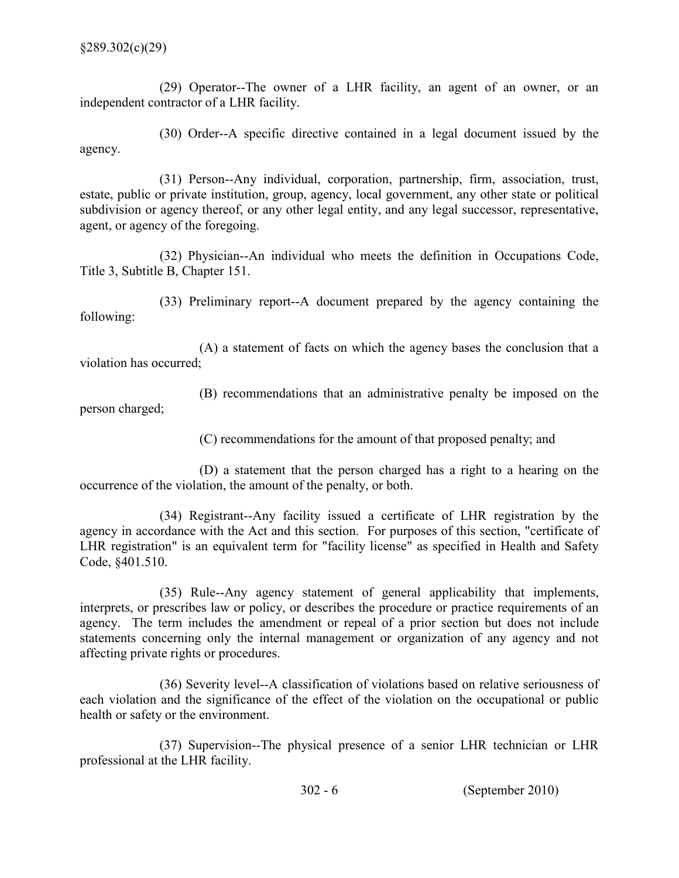$(29)$  Operator-The owner of a LHR facility, an agent of an owner, or an independent contractor of a LHR facility.

(30) Order--A specific directive contained in a legal document issued by the agency.

(31) Person--Any individual, corporation, partnership, firm, association, trust, estate, public or private institution, group, agency, local government, any other state or political subdivision or agency thereof, or any other legal entity, and any legal successor, representative, agent, or agency of the foregoing.

 $(32)$  Physician--An individual who meets the definition in Occupations Code, Title 3, Subtitle B, Chapter 151.

 $(33)$  Preliminary report--A document prepared by the agency containing the following:

 (A) a statement of facts on which the agency bases the conclusion that a violation has occurred;

 (B) recommendations that an administrative penalty be imposed on the person charged;

(C) recommendations for the amount of that proposed penalty; and

 (D) a statement that the person charged has a right to a hearing on the occurrence of the violation, the amount of the penalty, or both.

 $(34)$  Registrant-Any facility issued a certificate of LHR registration by the agency in accordance with the Act and this section. For purposes of this section, "certificate of LHR registration" is an equivalent term for "facility license" as specified in Health and Safety Code, §401.510.

(35) Rule-Any agency statement of general applicability that implements, interprets, or prescribes law or policy, or describes the procedure or practice requirements of an agency. The term includes the amendment or repeal of a prior section but does not include statements concerning only the internal management or organization of any agency and not affecting private rights or procedures.

(36) Severity level--A classification of violations based on relative seriousness of each violation and the significance of the effect of the violation on the occupational or public health or safety or the environment.

 $(37)$  Supervision--The physical presence of a senior LHR technician or LHR professional at the LHR facility.

302 6 (September 2010)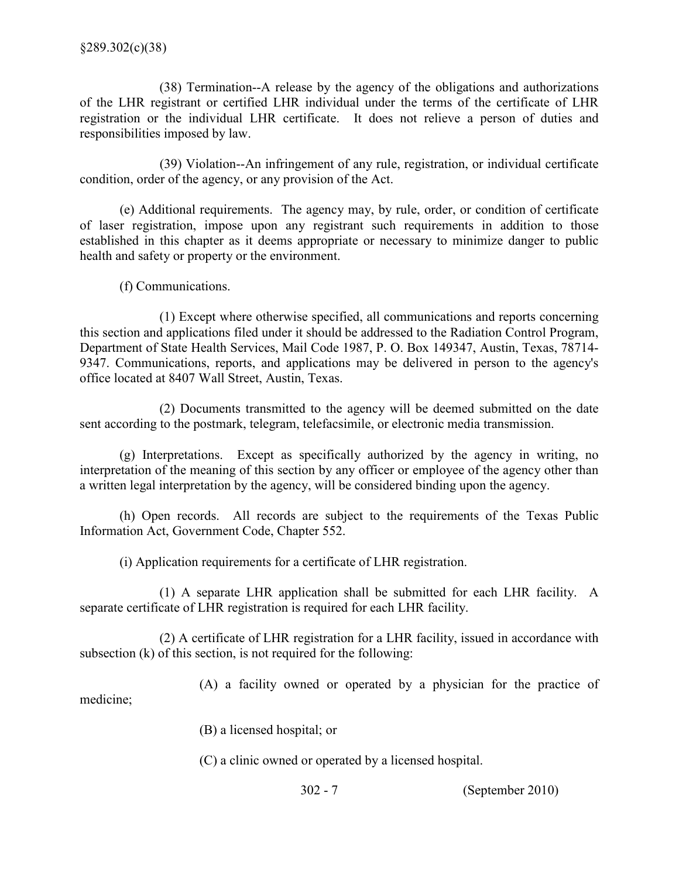medicine;

 $(38)$  Termination--A release by the agency of the obligations and authorizations of the LHR registrant or certified LHR individual under the terms of the certificate of LHR registration or the individual LHR certificate. It does not relieve a person of duties and responsibilities imposed by law.

(39) Violation--An infringement of any rule, registration, or individual certificate condition, order of the agency, or any provision of the Act.

 (e) Additional requirements. The agency may, by rule, order, or condition of certificate of laser registration, impose upon any registrant such requirements in addition to those established in this chapter as it deems appropriate or necessary to minimize danger to public health and safety or property or the environment.

(f) Communications.

 (1) Except where otherwise specified, all communications and reports concerning this section and applications filed under it should be addressed to the Radiation Control Program, Department of State Health Services, Mail Code 1987, P. O. Box 149347, Austin, Texas, 78714 9347. Communications, reports, and applications may be delivered in person to the agency's office located at 8407 Wall Street, Austin, Texas.

 (2) Documents transmitted to the agency will be deemed submitted on the date sent according to the postmark, telegram, telefacsimile, or electronic media transmission.

 (g) Interpretations. Except as specifically authorized by the agency in writing, no interpretation of the meaning of this section by any officer or employee of the agency other than a written legal interpretation by the agency, will be considered binding upon the agency.

 (h) Open records. All records are subject to the requirements of the Texas Public Information Act, Government Code, Chapter 552.

(i) Application requirements for a certificate of LHR registration.

 (1) A separate LHR application shall be submitted for each LHR facility. A separate certificate of LHR registration is required for each LHR facility.

 subsection (k) of this section, is not required for the following: (2) A certificate of LHR registration for a LHR facility, issued in accordance with

(A) a facility owned or operated by a physician for the practice of

(B) a licensed hospital; or

(C) a clinic owned or operated by a licensed hospital.

302 7 (September 2010)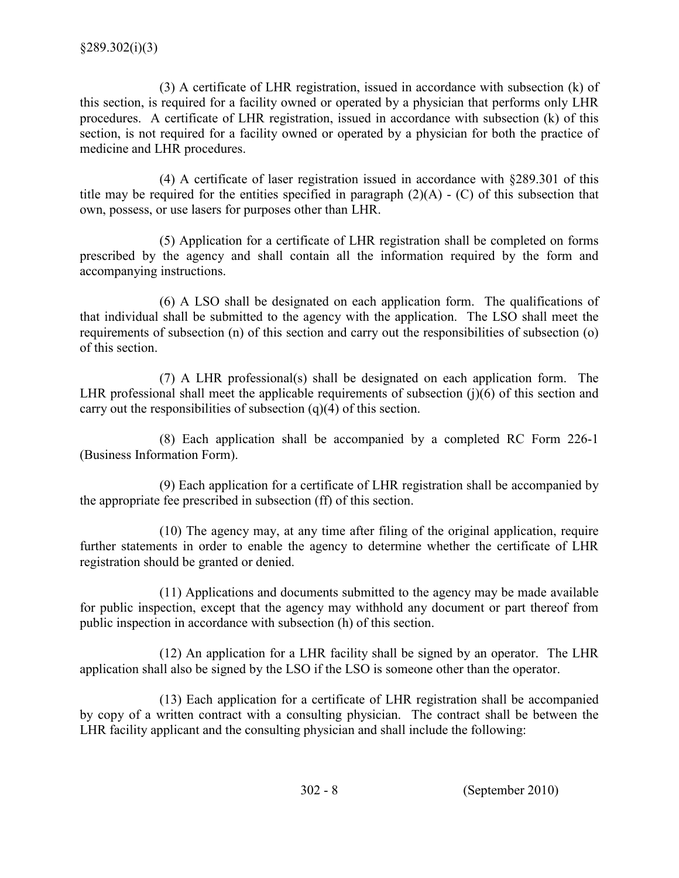(3) A certificate of LHR registration, issued in accordance with subsection (k) of this section, is required for a facility owned or operated by a physician that performs only LHR procedures. A certificate of LHR registration, issued in accordance with subsection (k) of this section, is not required for a facility owned or operated by a physician for both the practice of medicine and LHR procedures.

 (4) A certificate of laser registration issued in accordance with §289.301 of this title may be required for the entities specified in paragraph  $(2)(A) - (C)$  of this subsection that own, possess, or use lasers for purposes other than LHR.

 prescribed by the agency and shall contain all the information required by the form and accompanying instructions. (5) Application for a certificate of LHR registration shall be completed on forms

 (6) A LSO shall be designated on each application form. The qualifications of that individual shall be submitted to the agency with the application. The LSO shall meet the requirements of subsection (n) of this section and carry out the responsibilities of subsection (o) of this section.

 (7) A LHR professional(s) shall be designated on each application form. The LHR professional shall meet the applicable requirements of subsection (j)(6) of this section and carry out the responsibilities of subsection (q)(4) of this section.

 (8) Each application shall be accompanied by a completed RC Form 2261 (Business Information Form).

 (9) Each application for a certificate of LHR registration shall be accompanied by the appropriate fee prescribed in subsection (ff) of this section.

 (10) The agency may, at any time after filing of the original application, require further statements in order to enable the agency to determine whether the certificate of LHR registration should be granted or denied.

 (11) Applications and documents submitted to the agency may be made available for public inspection, except that the agency may withhold any document or part thereof from public inspection in accordance with subsection (h) of this section.

 (12) An application for a LHR facility shall be signed by an operator. The LHR application shall also be signed by the LSO if the LSO is someone other than the operator.

 (13) Each application for a certificate of LHR registration shall be accompanied by copy of a written contract with a consulting physician. The contract shall be between the LHR facility applicant and the consulting physician and shall include the following: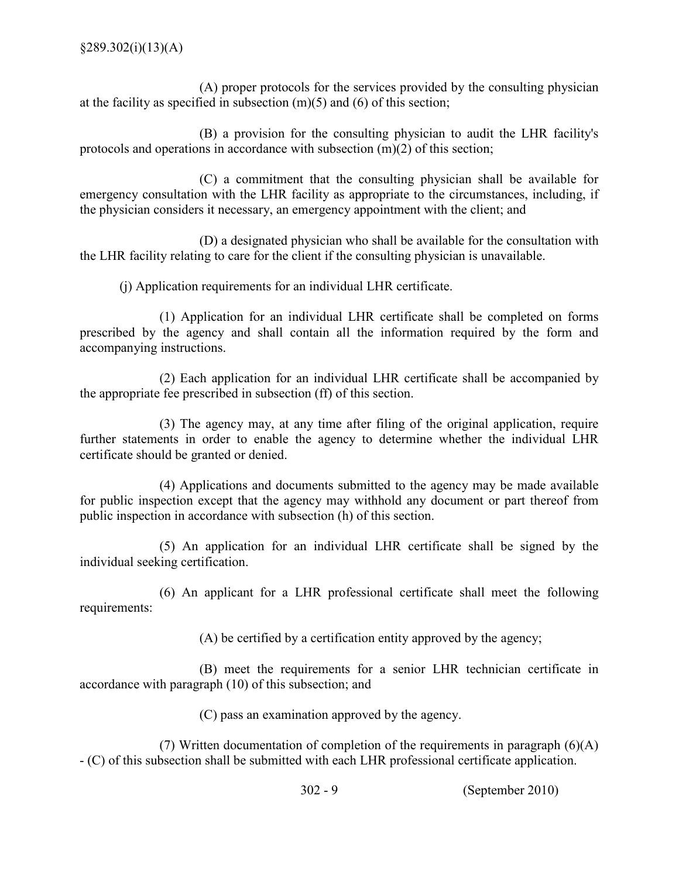(A) proper protocols for the services provided by the consulting physician at the facility as specified in subsection (m)(5) and (6) of this section;

 (B) a provision for the consulting physician to audit the LHR facility's protocols and operations in accordance with subsection (m)(2) of this section;

 (C) a commitment that the consulting physician shall be available for emergency consultation with the LHR facility as appropriate to the circumstances, including, if the physician considers it necessary, an emergency appointment with the client; and

 (D) a designated physician who shall be available for the consultation with the LHR facility relating to care for the client if the consulting physician is unavailable.

(j) Application requirements for an individual LHR certificate.

 (1) Application for an individual LHR certificate shall be completed on forms prescribed by the agency and shall contain all the information required by the form and accompanying instructions.

 (2) Each application for an individual LHR certificate shall be accompanied by the appropriate fee prescribed in subsection (ff) of this section.

 (3) The agency may, at any time after filing of the original application, require further statements in order to enable the agency to determine whether the individual LHR certificate should be granted or denied.

 (4) Applications and documents submitted to the agency may be made available for public inspection except that the agency may withhold any document or part thereof from public inspection in accordance with subsection (h) of this section.

 (5) An application for an individual LHR certificate shall be signed by the individual seeking certification.

 (6) An applicant for a LHR professional certificate shall meet the following requirements:

(A) be certified by a certification entity approved by the agency;

 (B) meet the requirements for a senior LHR technician certificate in accordance with paragraph (10) of this subsection; and

(C) pass an examination approved by the agency.

 (7) Written documentation of completion of the requirements in paragraph (6)(A) (C) of this subsection shall be submitted with each LHR professional certificate application.

302 9 (September 2010)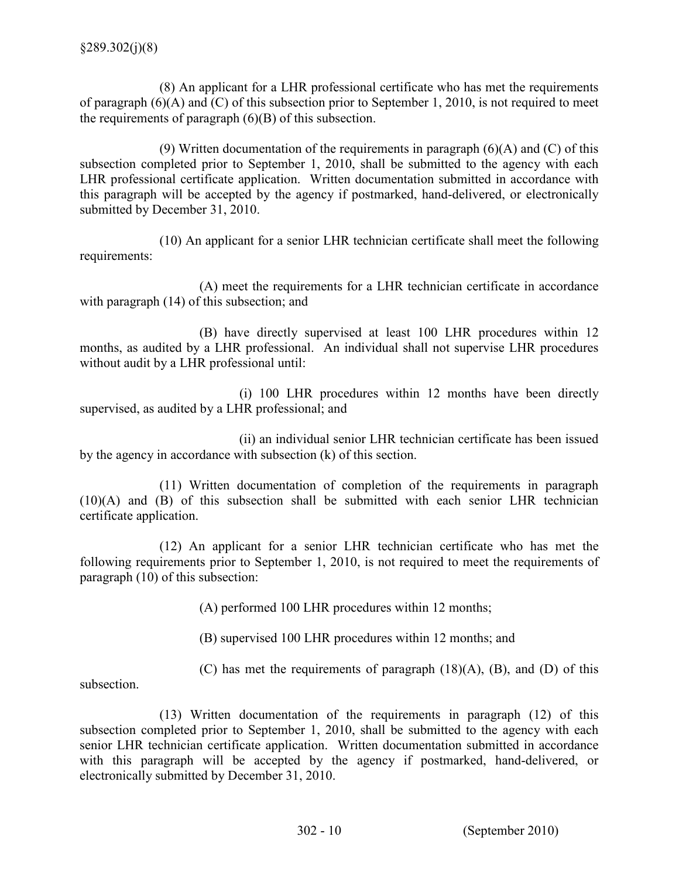(8) An applicant for a LHR professional certificate who has met the requirements of paragraph (6)(A) and (C) of this subsection prior to September 1, 2010, is not required to meet the requirements of paragraph (6)(B) of this subsection.

(9) Written documentation of the requirements in paragraph  $(6)(A)$  and  $(C)$  of this subsection completed prior to September 1, 2010, shall be submitted to the agency with each LHR professional certificate application. Written documentation submitted in accordance with this paragraph will be accepted by the agency if postmarked, hand-delivered, or electronically submitted by December 31, 2010.

 (10) An applicant for a senior LHR technician certificate shall meet the following requirements:

 (A) meet the requirements for a LHR technician certificate in accordance with paragraph (14) of this subsection; and

 (B) have directly supervised at least 100 LHR procedures within 12 months, as audited by a LHR professional. An individual shall not supervise LHR procedures without audit by a LHR professional until:

 supervised, as audited by a LHR professional; and (i) 100 LHR procedures within 12 months have been directly

 by the agency in accordance with subsection (k) of this section. (ii) an individual senior LHR technician certificate has been issued

 (11) Written documentation of completion of the requirements in paragraph (10)(A) and (B) of this subsection shall be submitted with each senior LHR technician certificate application.

 (12) An applicant for a senior LHR technician certificate who has met the following requirements prior to September 1, 2010, is not required to meet the requirements of paragraph (10) of this subsection:

(A) performed 100 LHR procedures within 12 months;

(B) supervised 100 LHR procedures within 12 months; and

(C) has met the requirements of paragraph (18)(A), (B), and (D) of this

subsection.

 (13) Written documentation of the requirements in paragraph (12) of this subsection completed prior to September 1, 2010, shall be submitted to the agency with each senior LHR technician certificate application. Written documentation submitted in accordance with this paragraph will be accepted by the agency if postmarked, hand-delivered, or electronically submitted by December 31, 2010.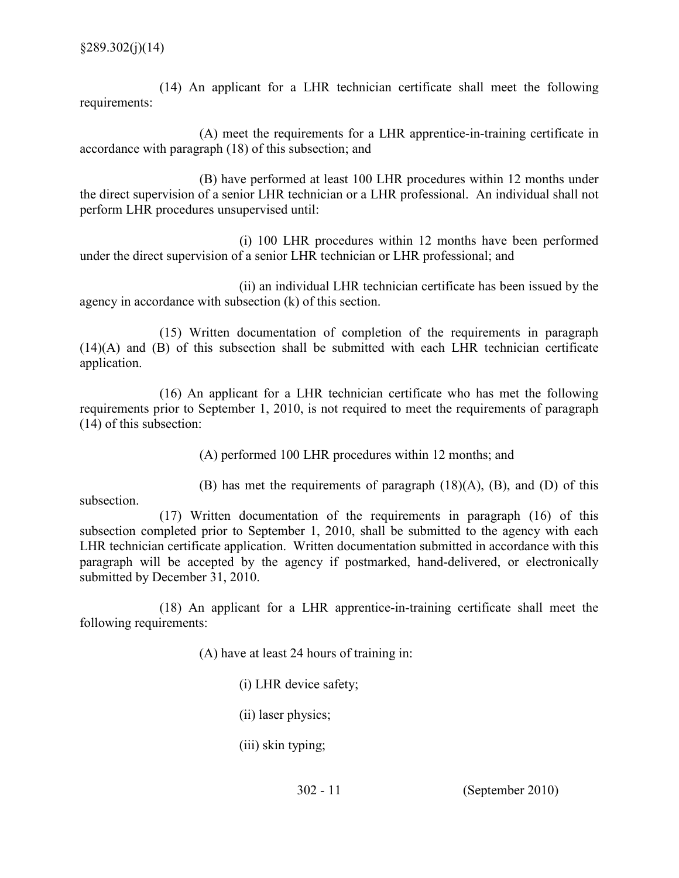(14) An applicant for a LHR technician certificate shall meet the following requirements:

 $(A)$  meet the requirements for a LHR apprentice-in-training certificate in accordance with paragraph (18) of this subsection; and

 (B) have performed at least 100 LHR procedures within 12 months under the direct supervision of a senior LHR technician or a LHR professional. An individual shall not perform LHR procedures unsupervised until:

 (i) 100 LHR procedures within 12 months have been performed under the direct supervision of a senior LHR technician or LHR professional; and

 (ii) an individual LHR technician certificate has been issued by the agency in accordance with subsection (k) of this section.

 (15) Written documentation of completion of the requirements in paragraph (14)(A) and (B) of this subsection shall be submitted with each LHR technician certificate application.

 (16) An applicant for a LHR technician certificate who has met the following requirements prior to September 1, 2010, is not required to meet the requirements of paragraph (14) of this subsection:

(A) performed 100 LHR procedures within 12 months; and

 (B) has met the requirements of paragraph (18)(A), (B), and (D) of this subsection.

 (17) Written documentation of the requirements in paragraph (16) of this subsection completed prior to September 1, 2010, shall be submitted to the agency with each LHR technician certificate application. Written documentation submitted in accordance with this paragraph will be accepted by the agency if postmarked, hand-delivered, or electronically submitted by December 31, 2010.

 $(18)$  An applicant for a LHR apprentice-in-training certificate shall meet the following requirements:

(A) have at least 24 hours of training in:

(i) LHR device safety;

(ii) laser physics;

(iii) skin typing;

302 11 (September 2010)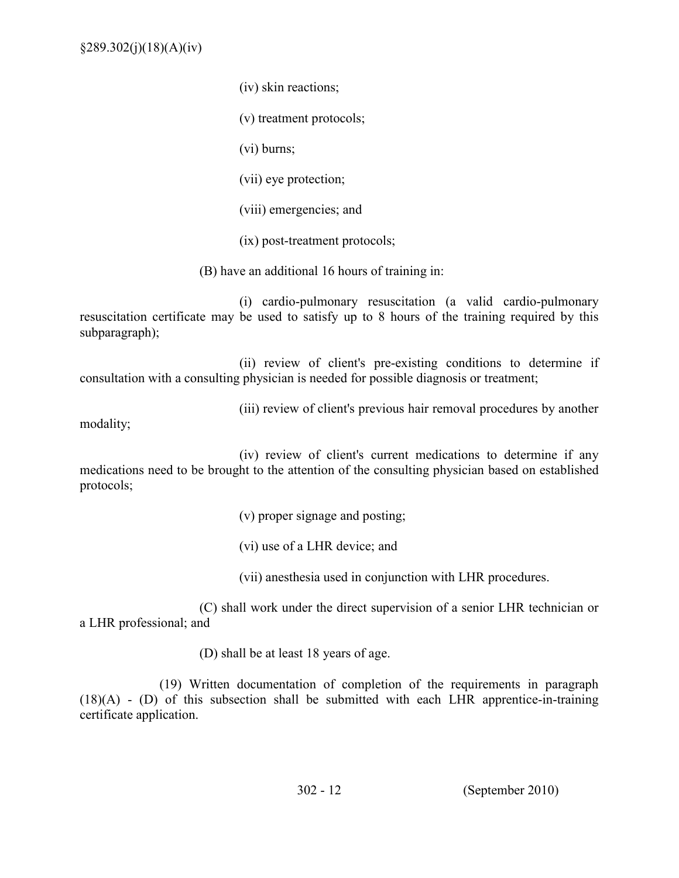$§289.302(i)(18)(A)(iv)$ 

(iv) skin reactions;

(v) treatment protocols;

(vi) burns;

(vii) eye protection;

(viii) emergencies; and

 $(ix)$  post-treatment protocols;

(B) have an additional 16 hours of training in:

(i) cardio-pulmonary resuscitation (a valid cardio-pulmonary resuscitation certificate may be used to satisfy up to 8 hours of the training required by this subparagraph);

(ii) review of client's pre-existing conditions to determine if consultation with a consulting physician is needed for possible diagnosis or treatment;

(iii) review of client's previous hair removal procedures by another

modality;

 (iv) review of client's current medications to determine if any medications need to be brought to the attention of the consulting physician based on established protocols;

(v) proper signage and posting;

(vi) use of a LHR device; and

(vii) anesthesia used in conjunction with LHR procedures.

 (C) shall work under the direct supervision of a senior LHR technician or a LHR professional; and

(D) shall be at least 18 years of age.

 (19) Written documentation of completion of the requirements in paragraph  $(18)(A)$  -  $(D)$  of this subsection shall be submitted with each LHR apprentice-in-training certificate application.

302 12 (September 2010)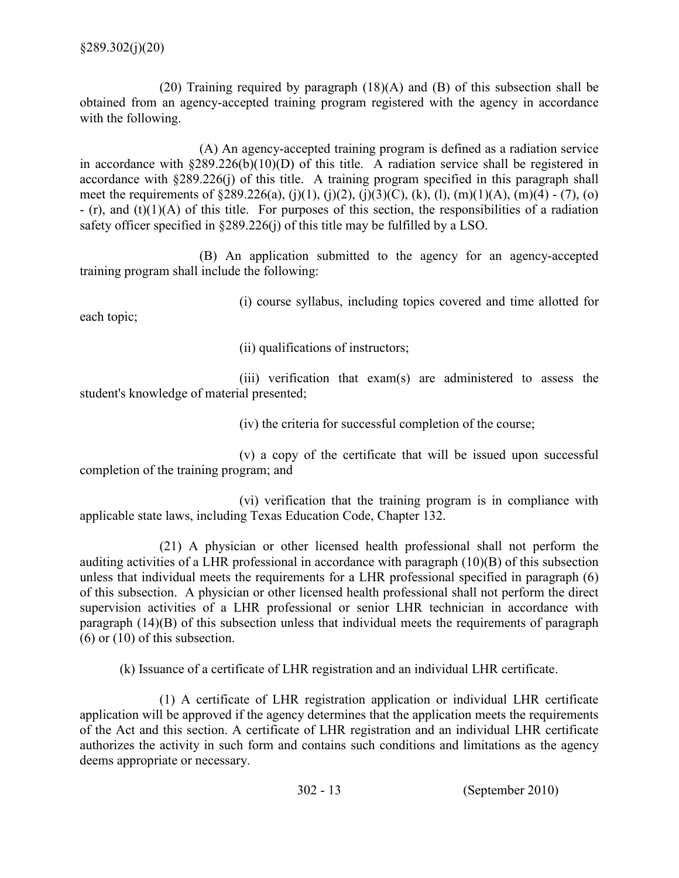(20) Training required by paragraph (18)(A) and (B) of this subsection shall be obtained from an agency-accepted training program registered with the agency in accordance with the following.

 $(A)$  An agency-accepted training program is defined as a radiation service in accordance with  $\S 289.226(b)(10)(D)$  of this title. A radiation service shall be registered in accordance with §289.226(j) of this title. A training program specified in this paragraph shall meet the requirements of  $\S 289.226(a)$ , (j)(1), (j)(2), (j)(3)(C), (k), (l), (m)(1)(A), (m)(4) - (7), (o)  $-$  (r), and (t)(1)(A) of this title. For purposes of this section, the responsibilities of a radiation safety officer specified in §289.226(j) of this title may be fulfilled by a LSO.

(B) An application submitted to the agency for an agency-accepted training program shall include the following:

(i) course syllabus, including topics covered and time allotted for

each topic;

(ii) qualifications of instructors;

 (iii) verification that exam(s) are administered to assess the student's knowledge of material presented;

(iv) the criteria for successful completion of the course;

 (v) a copy of the certificate that will be issued upon successful completion of the training program; and

 (vi) verification that the training program is in compliance with applicable state laws, including Texas Education Code, Chapter 132.

 (21) A physician or other licensed health professional shall not perform the auditing activities of a LHR professional in accordance with paragraph (10)(B) of this subsection unless that individual meets the requirements for a LHR professional specified in paragraph (6) of this subsection. A physician or other licensed health professional shall not perform the direct supervision activities of a LHR professional or senior LHR technician in accordance with paragraph (14)(B) of this subsection unless that individual meets the requirements of paragraph  $(6)$  or  $(10)$  of this subsection.

(k) Issuance of a certificate of LHR registration and an individual LHR certificate.

 (1) A certificate of LHR registration application or individual LHR certificate application will be approved if the agency determines that the application meets the requirements of the Act and this section. A certificate of LHR registration and an individual LHR certificate authorizes the activity in such form and contains such conditions and limitations as the agency deems appropriate or necessary.

302 13 (September 2010)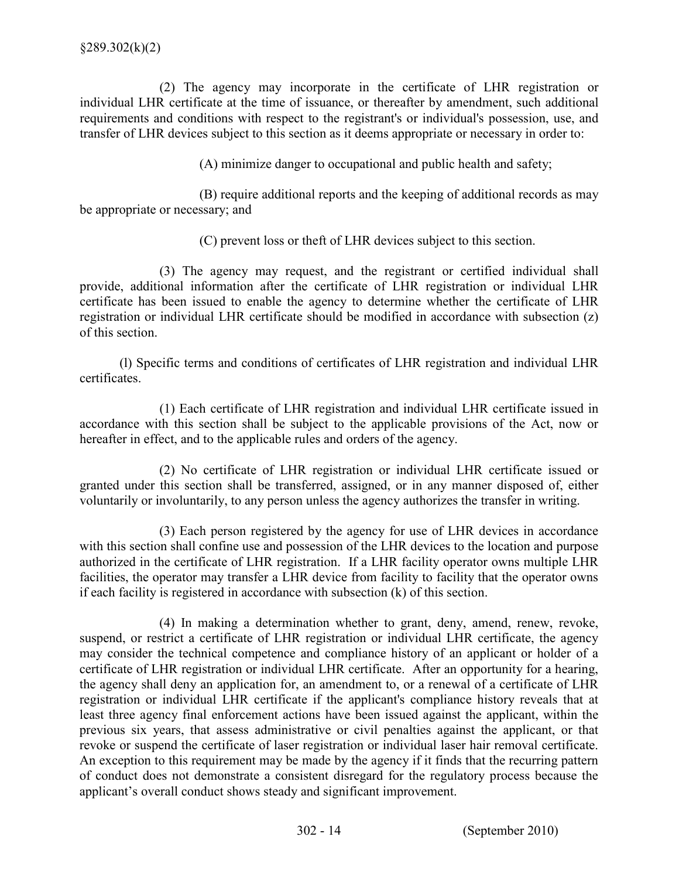(2) The agency may incorporate in the certificate of LHR registration or individual LHR certificate at the time of issuance, or thereafter by amendment, such additional requirements and conditions with respect to the registrant's or individual's possession, use, and transfer of LHR devices subject to this section as it deems appropriate or necessary in order to:

(A) minimize danger to occupational and public health and safety;

 (B) require additional reports and the keeping of additional records as may be appropriate or necessary; and

(C) prevent loss or theft of LHR devices subject to this section.

 (3) The agency may request, and the registrant or certified individual shall provide, additional information after the certificate of LHR registration or individual LHR certificate has been issued to enable the agency to determine whether the certificate of LHR registration or individual LHR certificate should be modified in accordance with subsection (z) of this section.

 (l) Specific terms and conditions of certificates of LHR registration and individual LHR certificates.

 accordance with this section shall be subject to the applicable provisions of the Act, now or hereafter in effect, and to the applicable rules and orders of the agency. (1) Each certificate of LHR registration and individual LHR certificate issued in

 granted under this section shall be transferred, assigned, or in any manner disposed of, either voluntarily or involuntarily, to any person unless the agency authorizes the transfer in writing. (2) No certificate of LHR registration or individual LHR certificate issued or

 (3) Each person registered by the agency for use of LHR devices in accordance with this section shall confine use and possession of the LHR devices to the location and purpose authorized in the certificate of LHR registration. If a LHR facility operator owns multiple LHR facilities, the operator may transfer a LHR device from facility to facility that the operator owns if each facility is registered in accordance with subsection (k) of this section.

 (4) In making a determination whether to grant, deny, amend, renew, revoke, suspend, or restrict a certificate of LHR registration or individual LHR certificate, the agency may consider the technical competence and compliance history of an applicant or holder of a certificate of LHR registration or individual LHR certificate. After an opportunity for a hearing, the agency shall deny an application for, an amendment to, or a renewal of a certificate of LHR registration or individual LHR certificate if the applicant's compliance history reveals that at least three agency final enforcement actions have been issued against the applicant, within the previous six years, that assess administrative or civil penalties against the applicant, or that revoke or suspend the certificate of laser registration or individual laser hair removal certificate. An exception to this requirement may be made by the agency if it finds that the recurring pattern of conduct does not demonstrate a consistent disregard for the regulatory process because the applicant's overall conduct shows steady and significant improvement.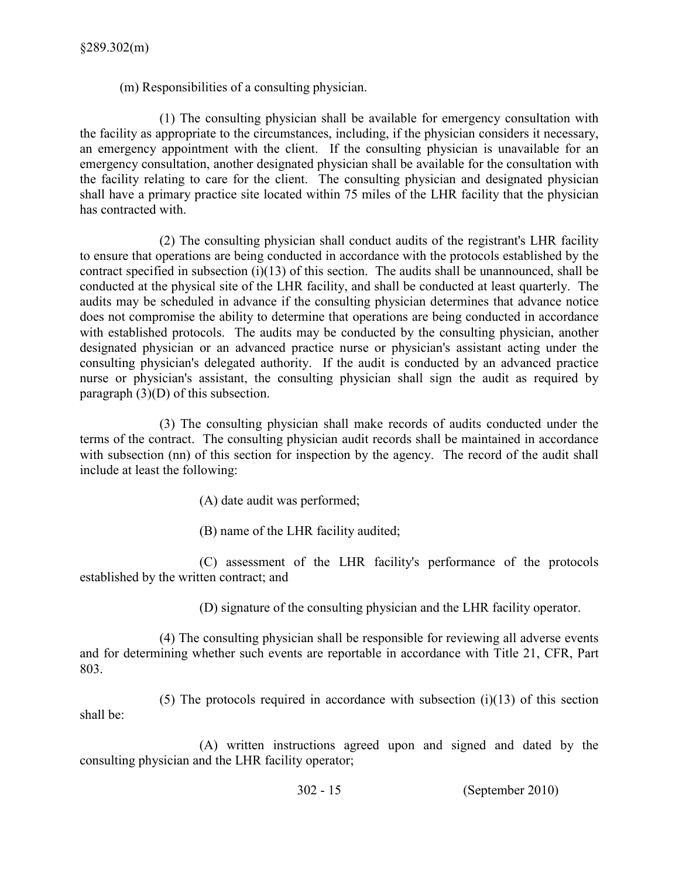(m) Responsibilities of a consulting physician.

 (1) The consulting physician shall be available for emergency consultation with the facility as appropriate to the circumstances, including, if the physician considers it necessary, an emergency appointment with the client. If the consulting physician is unavailable for an emergency consultation, another designated physician shall be available for the consultation with the facility relating to care for the client. The consulting physician and designated physician shall have a primary practice site located within 75 miles of the LHR facility that the physician has contracted with.

 (2) The consulting physician shall conduct audits of the registrant's LHR facility to ensure that operations are being conducted in accordance with the protocols established by the contract specified in subsection  $(i)(13)$  of this section. The audits shall be unannounced, shall be conducted at the physical site of the LHR facility, and shall be conducted at least quarterly. The audits may be scheduled in advance if the consulting physician determines that advance notice does not compromise the ability to determine that operations are being conducted in accordance with established protocols. The audits may be conducted by the consulting physician, another designated physician or an advanced practice nurse or physician's assistant acting under the consulting physician's delegated authority. If the audit is conducted by an advanced practice nurse or physician's assistant, the consulting physician shall sign the audit as required by paragraph (3)(D) of this subsection.

 (3) The consulting physician shall make records of audits conducted under the terms of the contract. The consulting physician audit records shall be maintained in accordance with subsection (nn) of this section for inspection by the agency. The record of the audit shall include at least the following:

- (A) date audit was performed;
- (B) name of the LHR facility audited;

 (C) assessment of the LHR facility's performance of the protocols established by the written contract; and

(D) signature of the consulting physician and the LHR facility operator.

 and for determining whether such events are reportable in accordance with Title 21, CFR, Part 803. (4) The consulting physician shall be responsible for reviewing all adverse events

 shall be:  $(5)$  The protocols required in accordance with subsection  $(i)(13)$  of this section

 (A) written instructions agreed upon and signed and dated by the consulting physician and the LHR facility operator;

302 15 (September 2010)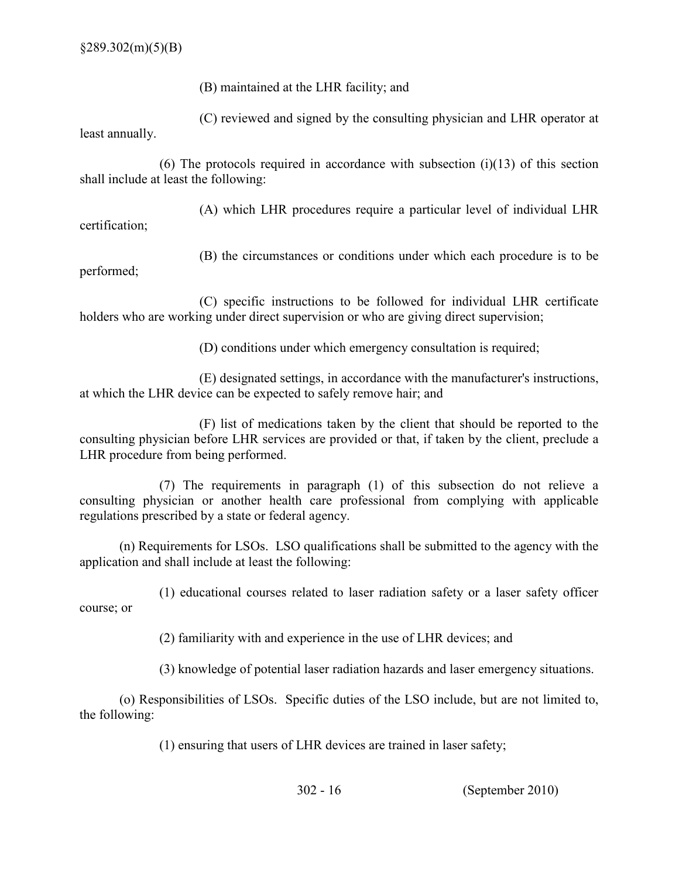(B) maintained at the LHR facility; and

 (C) reviewed and signed by the consulting physician and LHR operator at least annually.

(6) The protocols required in accordance with subsection  $(i)(13)$  of this section shall include at least the following:

(A) which LHR procedures require a particular level of individual LHR

certification;

 (B) the circumstances or conditions under which each procedure is to be performed;

 (C) specific instructions to be followed for individual LHR certificate holders who are working under direct supervision or who are giving direct supervision;

(D) conditions under which emergency consultation is required;

 (E) designated settings, in accordance with the manufacturer's instructions, at which the LHR device can be expected to safely remove hair; and

 (F) list of medications taken by the client that should be reported to the consulting physician before LHR services are provided or that, if taken by the client, preclude a LHR procedure from being performed.

 (7) The requirements in paragraph (1) of this subsection do not relieve a consulting physician or another health care professional from complying with applicable regulations prescribed by a state or federal agency.

 (n) Requirements for LSOs. LSO qualifications shall be submitted to the agency with the application and shall include at least the following:

 (1) educational courses related to laser radiation safety or a laser safety officer course; or

(2) familiarity with and experience in the use of LHR devices; and

(3) knowledge of potential laser radiation hazards and laser emergency situations.

 (o) Responsibilities of LSOs. Specific duties of the LSO include, but are not limited to, the following:

(1) ensuring that users of LHR devices are trained in laser safety;

302 16 (September 2010)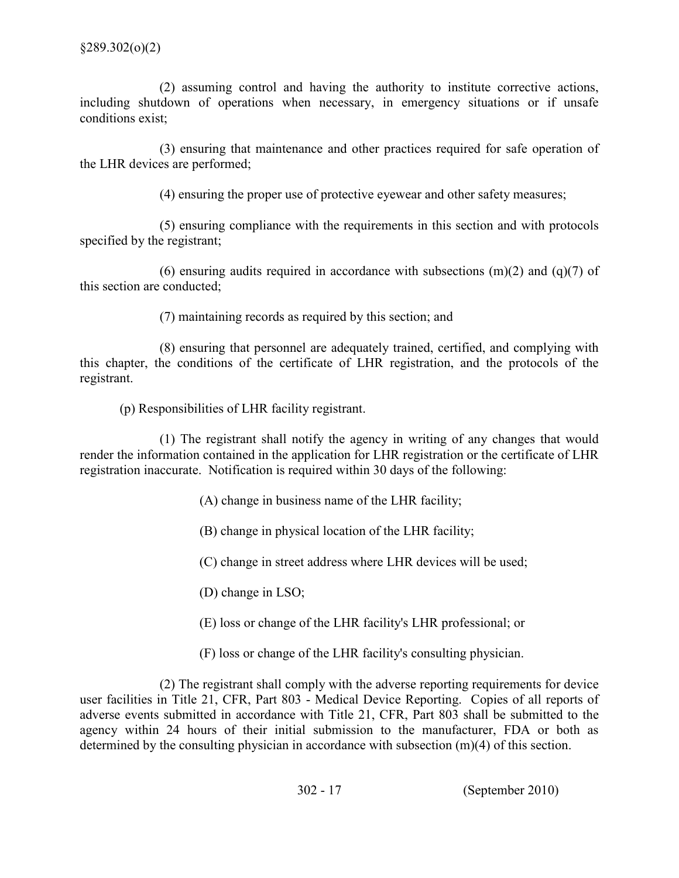(2) assuming control and having the authority to institute corrective actions, including shutdown of operations when necessary, in emergency situations or if unsafe conditions exist;

 (3) ensuring that maintenance and other practices required for safe operation of the LHR devices are performed;

(4) ensuring the proper use of protective eyewear and other safety measures;

 (5) ensuring compliance with the requirements in this section and with protocols specified by the registrant;

(6) ensuring audits required in accordance with subsections  $(m)(2)$  and  $(q)(7)$  of this section are conducted;

(7) maintaining records as required by this section; and

 (8) ensuring that personnel are adequately trained, certified, and complying with this chapter, the conditions of the certificate of LHR registration, and the protocols of the registrant.

(p) Responsibilities of LHR facility registrant.

 (1) The registrant shall notify the agency in writing of any changes that would render the information contained in the application for LHR registration or the certificate of LHR registration inaccurate. Notification is required within 30 days of the following:

(A) change in business name of the LHR facility;

(B) change in physical location of the LHR facility;

(C) change in street address where LHR devices will be used;

(D) change in LSO;

(E) loss or change of the LHR facility's LHR professional; or

(F) loss or change of the LHR facility's consulting physician.

 (2) The registrant shall comply with the adverse reporting requirements for device user facilities in Title 21, CFR, Part 803 - Medical Device Reporting. Copies of all reports of adverse events submitted in accordance with Title 21, CFR, Part 803 shall be submitted to the agency within 24 hours of their initial submission to the manufacturer, FDA or both as determined by the consulting physician in accordance with subsection (m)(4) of this section.

302 17 (September 2010)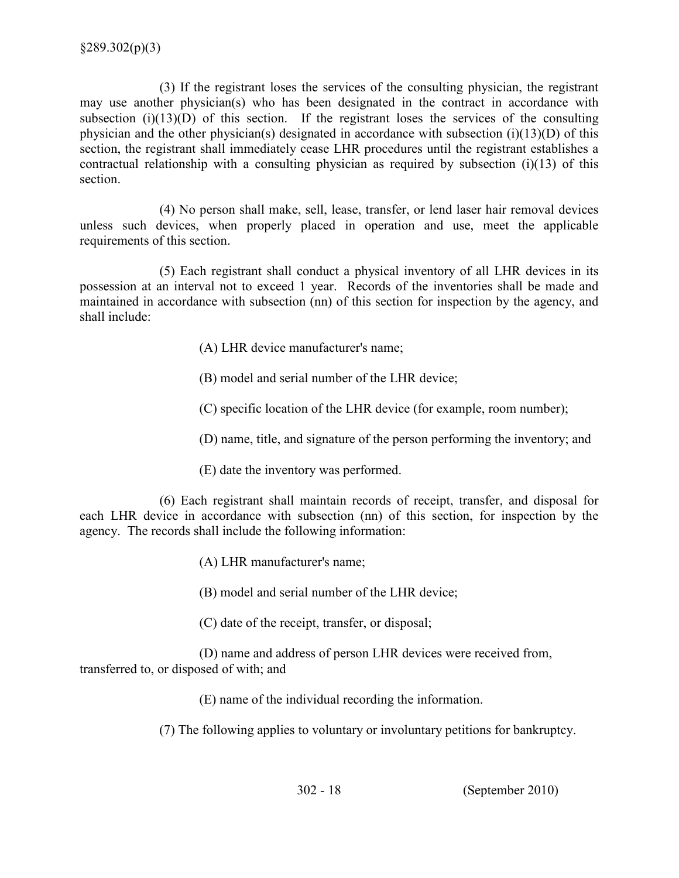(3) If the registrant loses the services of the consulting physician, the registrant may use another physician(s) who has been designated in the contract in accordance with subsection  $(i)(13)(D)$  of this section. If the registrant loses the services of the consulting physician and the other physician(s) designated in accordance with subsection (i)(13)(D) of this section, the registrant shall immediately cease LHR procedures until the registrant establishes a contractual relationship with a consulting physician as required by subsection (i)(13) of this section.

 (4) No person shall make, sell, lease, transfer, or lend laser hair removal devices unless such devices, when properly placed in operation and use, meet the applicable requirements of this section.

 (5) Each registrant shall conduct a physical inventory of all LHR devices in its possession at an interval not to exceed 1 year. Records of the inventories shall be made and maintained in accordance with subsection (nn) of this section for inspection by the agency, and shall include:

(A) LHR device manufacturer's name;

(B) model and serial number of the LHR device;

(C) specific location of the LHR device (for example, room number);

(D) name, title, and signature of the person performing the inventory; and

(E) date the inventory was performed.

 (6) Each registrant shall maintain records of receipt, transfer, and disposal for each LHR device in accordance with subsection (nn) of this section, for inspection by the agency. The records shall include the following information:

(A) LHR manufacturer's name;

(B) model and serial number of the LHR device;

(C) date of the receipt, transfer, or disposal;

 (D) name and address of person LHR devices were received from, transferred to, or disposed of with; and

(E) name of the individual recording the information.

(7) The following applies to voluntary or involuntary petitions for bankruptcy.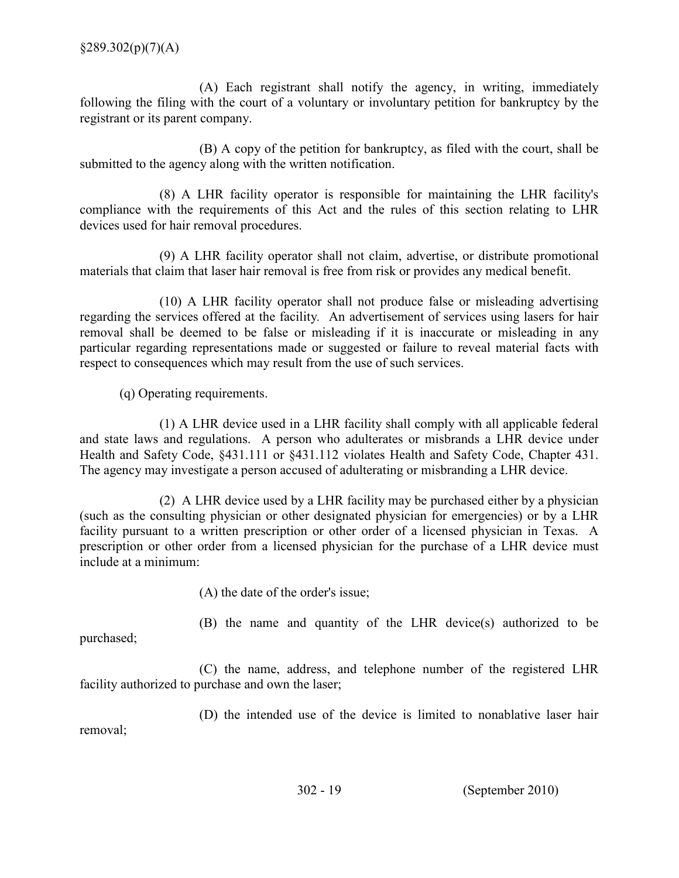(A) Each registrant shall notify the agency, in writing, immediately following the filing with the court of a voluntary or involuntary petition for bankruptcy by the registrant or its parent company.

 (B) A copy of the petition for bankruptcy, as filed with the court, shall be submitted to the agency along with the written notification.

 (8) A LHR facility operator is responsible for maintaining the LHR facility's compliance with the requirements of this Act and the rules of this section relating to LHR devices used for hair removal procedures.

 (9) A LHR facility operator shall not claim, advertise, or distribute promotional materials that claim that laser hair removal is free from risk or provides any medical benefit.

 (10) A LHR facility operator shall not produce false or misleading advertising regarding the services offered at the facility. An advertisement of services using lasers for hair removal shall be deemed to be false or misleading if it is inaccurate or misleading in any particular regarding representations made or suggested or failure to reveal material facts with respect to consequences which may result from the use of such services.

(q) Operating requirements.

 (1) A LHR device used in a LHR facility shall comply with all applicable federal and state laws and regulations. A person who adulterates or misbrands a LHR device under Health and Safety Code, §431.111 or §431.112 violates Health and Safety Code, Chapter 431. The agency may investigate a person accused of adulterating or misbranding a LHR device.

 (2) A LHR device used by a LHR facility may be purchased either by a physician (such as the consulting physician or other designated physician for emergencies) or by a LHR facility pursuant to a written prescription or other order of a licensed physician in Texas. A prescription or other order from a licensed physician for the purchase of a LHR device must include at a minimum:

(A) the date of the order's issue;

(B) the name and quantity of the LHR device(s) authorized to be

purchased;

 (C) the name, address, and telephone number of the registered LHR facility authorized to purchase and own the laser;

 (D) the intended use of the device is limited to nonablative laser hair removal;

302 19 (September 2010)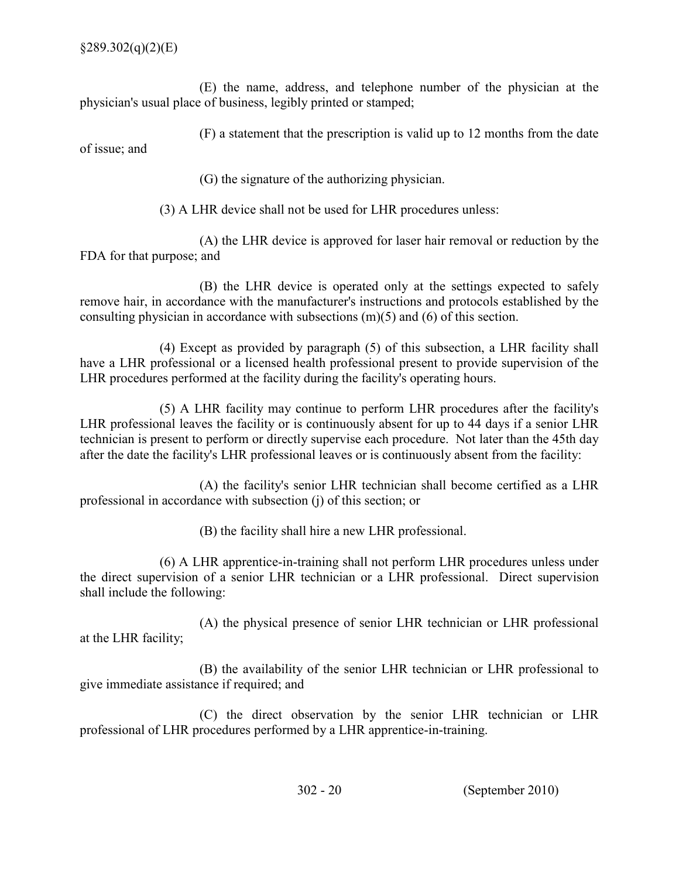(E) the name, address, and telephone number of the physician at the physician's usual place of business, legibly printed or stamped;

(F) a statement that the prescription is valid up to 12 months from the date

of issue; and

(G) the signature of the authorizing physician.

(3) A LHR device shall not be used for LHR procedures unless:

 (A) the LHR device is approved for laser hair removal or reduction by the FDA for that purpose; and

 (B) the LHR device is operated only at the settings expected to safely remove hair, in accordance with the manufacturer's instructions and protocols established by the consulting physician in accordance with subsections (m)(5) and (6) of this section.

 (4) Except as provided by paragraph (5) of this subsection, a LHR facility shall have a LHR professional or a licensed health professional present to provide supervision of the LHR procedures performed at the facility during the facility's operating hours.

 (5) A LHR facility may continue to perform LHR procedures after the facility's LHR professional leaves the facility or is continuously absent for up to 44 days if a senior LHR technician is present to perform or directly supervise each procedure. Not later than the 45th day after the date the facility's LHR professional leaves or is continuously absent from the facility:

 (A) the facility's senior LHR technician shall become certified as a LHR professional in accordance with subsection (j) of this section; or

(B) the facility shall hire a new LHR professional.

(6) A LHR apprentice-in-training shall not perform LHR procedures unless under the direct supervision of a senior LHR technician or a LHR professional. Direct supervision shall include the following:

 (A) the physical presence of senior LHR technician or LHR professional at the LHR facility;

 (B) the availability of the senior LHR technician or LHR professional to give immediate assistance if required; and

 (C) the direct observation by the senior LHR technician or LHR professional of LHR procedures performed by a LHR apprentice-in-training.

302 20 (September 2010)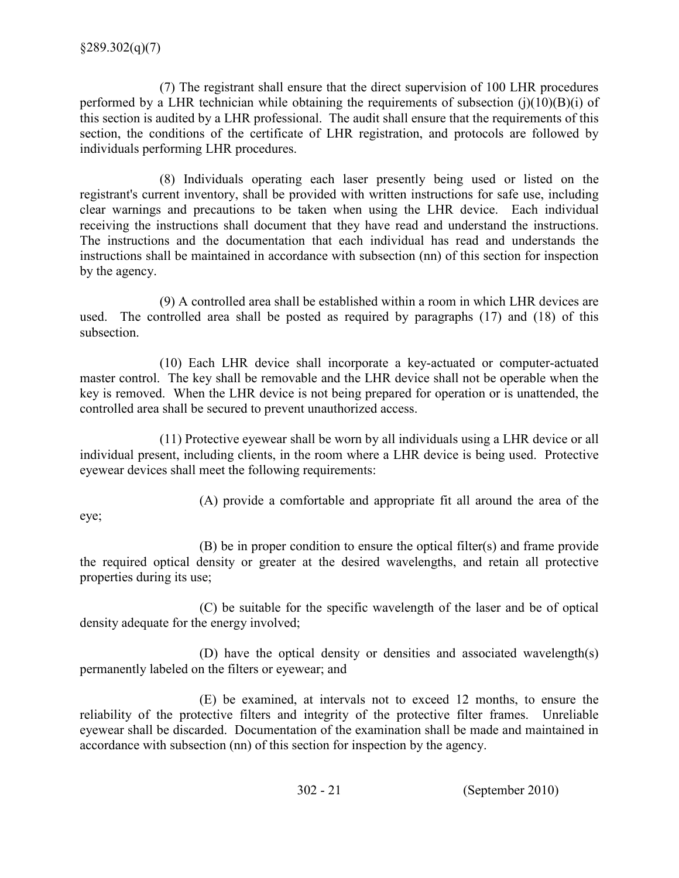(7) The registrant shall ensure that the direct supervision of 100 LHR procedures performed by a LHR technician while obtaining the requirements of subsection  $(j)(10)(B)(i)$  of this section is audited by a LHR professional. The audit shall ensure that the requirements of this section, the conditions of the certificate of LHR registration, and protocols are followed by individuals performing LHR procedures.

 (8) Individuals operating each laser presently being used or listed on the registrant's current inventory, shall be provided with written instructions for safe use, including clear warnings and precautions to be taken when using the LHR device. Each individual receiving the instructions shall document that they have read and understand the instructions. The instructions and the documentation that each individual has read and understands the instructions shall be maintained in accordance with subsection (nn) of this section for inspection by the agency.

 (9) A controlled area shall be established within a room in which LHR devices are used. The controlled area shall be posted as required by paragraphs (17) and (18) of this subsection.

(10) Each LHR device shall incorporate a key-actuated or computer-actuated master control. The key shall be removable and the LHR device shall not be operable when the key is removed. When the LHR device is not being prepared for operation or is unattended, the controlled area shall be secured to prevent unauthorized access.

 (11) Protective eyewear shall be worn by all individuals using a LHR device or all individual present, including clients, in the room where a LHR device is being used. Protective eyewear devices shall meet the following requirements:

(A) provide a comfortable and appropriate fit all around the area of the

eye;

 the required optical density or greater at the desired wavelengths, and retain all protective properties during its use; (B) be in proper condition to ensure the optical filter(s) and frame provide

 (C) be suitable for the specific wavelength of the laser and be of optical density adequate for the energy involved;

 (D) have the optical density or densities and associated wavelength(s) permanently labeled on the filters or eyewear; and

 (E) be examined, at intervals not to exceed 12 months, to ensure the reliability of the protective filters and integrity of the protective filter frames. Unreliable eyewear shall be discarded. Documentation of the examination shall be made and maintained in accordance with subsection (nn) of this section for inspection by the agency.

302 21 (September 2010)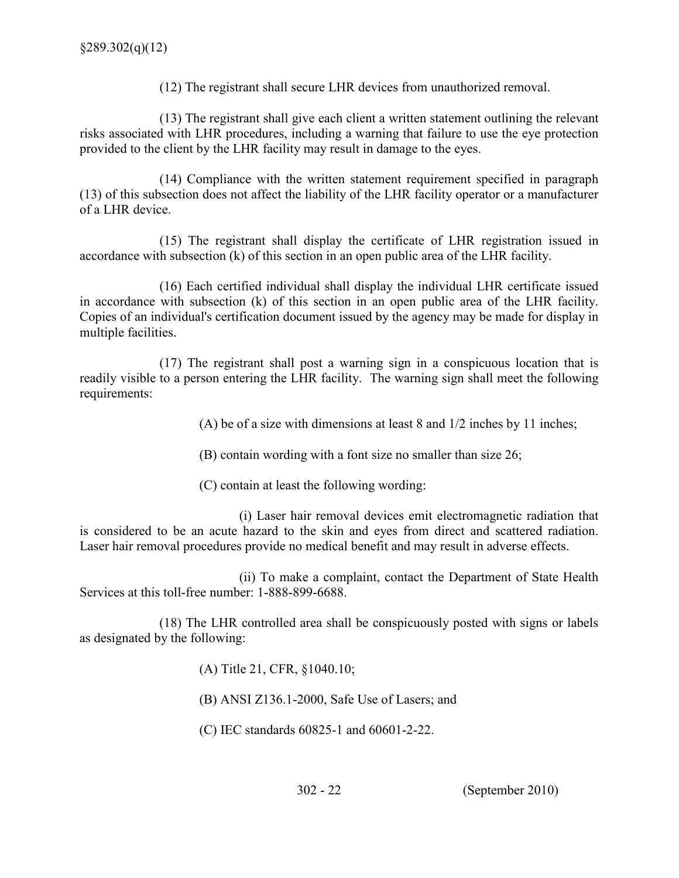(12) The registrant shall secure LHR devices from unauthorized removal.

 (13) The registrant shall give each client a written statement outlining the relevant risks associated with LHR procedures, including a warning that failure to use the eye protection provided to the client by the LHR facility may result in damage to the eyes.

 (14) Compliance with the written statement requirement specified in paragraph (13) of this subsection does not affect the liability of the LHR facility operator or a manufacturer of a LHR device.

 (15) The registrant shall display the certificate of LHR registration issued in accordance with subsection (k) of this section in an open public area of the LHR facility.

 (16) Each certified individual shall display the individual LHR certificate issued in accordance with subsection (k) of this section in an open public area of the LHR facility. Copies of an individual's certification document issued by the agency may be made for display in multiple facilities.

 (17) The registrant shall post a warning sign in a conspicuous location that is readily visible to a person entering the LHR facility. The warning sign shall meet the following requirements:

(A) be of a size with dimensions at least 8 and 1/2 inches by 11 inches;

(B) contain wording with a font size no smaller than size 26;

(C) contain at least the following wording:

 (i) Laser hair removal devices emit electromagnetic radiation that is considered to be an acute hazard to the skin and eyes from direct and scattered radiation. Laser hair removal procedures provide no medical benefit and may result in adverse effects.

 (ii) To make a complaint, contact the Department of State Health Services at this toll-free number: 1-888-899-6688.

 (18) The LHR controlled area shall be conspicuously posted with signs or labels as designated by the following:

(A) Title 21, CFR, §1040.10;

 $(B)$  ANSI Z136.1-2000, Safe Use of Lasers; and

(C) IEC standards  $60825-1$  and  $60601-2-22$ .

302 22 (September 2010)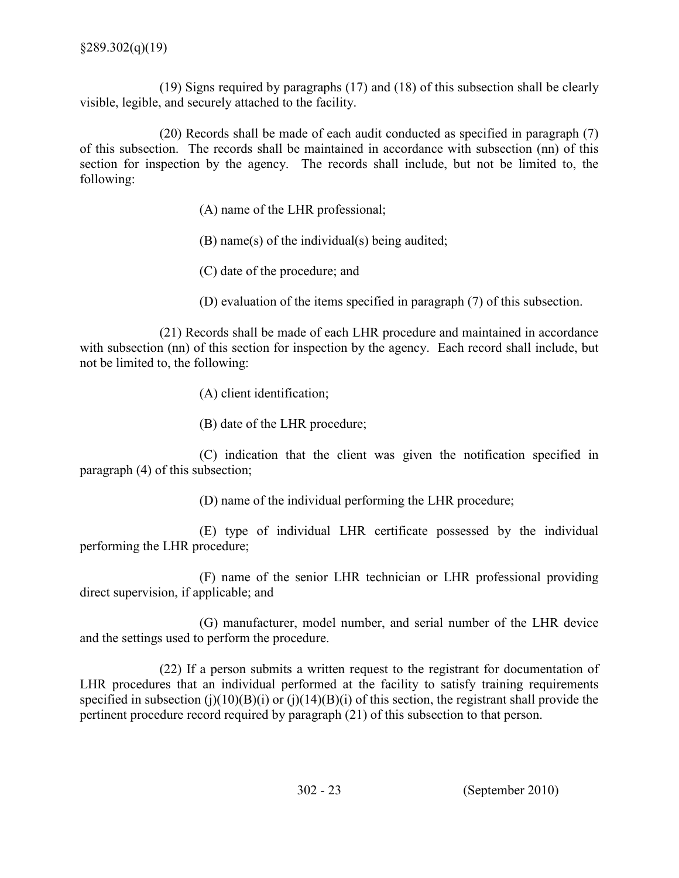(19) Signs required by paragraphs (17) and (18) of this subsection shall be clearly visible, legible, and securely attached to the facility.

 of this subsection. The records shall be maintained in accordance with subsection (nn) of this section for inspection by the agency. The records shall include, but not be limited to, the (20) Records shall be made of each audit conducted as specified in paragraph (7) following:

(A) name of the LHR professional;

(B) name(s) of the individual(s) being audited;

(C) date of the procedure; and

(D) evaluation of the items specified in paragraph (7) of this subsection.

 with subsection (nn) of this section for inspection by the agency. Each record shall include, but not be limited to, the following: (21) Records shall be made of each LHR procedure and maintained in accordance

(A) client identification;

(B) date of the LHR procedure;

 (C) indication that the client was given the notification specified in paragraph (4) of this subsection;

(D) name of the individual performing the LHR procedure;

 (E) type of individual LHR certificate possessed by the individual performing the LHR procedure;

 (F) name of the senior LHR technician or LHR professional providing direct supervision, if applicable; and

 (G) manufacturer, model number, and serial number of the LHR device and the settings used to perform the procedure.

 (22) If a person submits a written request to the registrant for documentation of LHR procedures that an individual performed at the facility to satisfy training requirements specified in subsection (j)(10)(B)(i) or (j)(14)(B)(i) of this section, the registrant shall provide the pertinent procedure record required by paragraph (21) of this subsection to that person.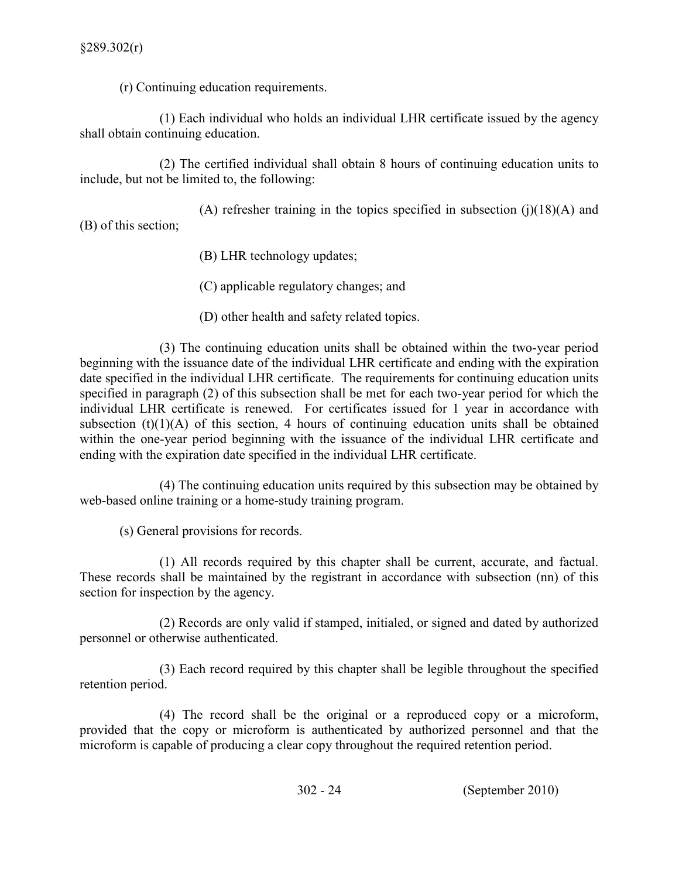(r) Continuing education requirements.

 (1) Each individual who holds an individual LHR certificate issued by the agency shall obtain continuing education.

 include, but not be limited to, the following: (2) The certified individual shall obtain 8 hours of continuing education units to

(A) refresher training in the topics specified in subsection  $(j)(18)(A)$  and (B) of this section;

- (B) LHR technology updates;
- (C) applicable regulatory changes; and
- (D) other health and safety related topics.

 $(3)$  The continuing education units shall be obtained within the two-year period beginning with the issuance date of the individual LHR certificate and ending with the expiration date specified in the individual LHR certificate. The requirements for continuing education units specified in paragraph (2) of this subsection shall be met for each two-year period for which the individual LHR certificate is renewed. For certificates issued for 1 year in accordance with subsection  $(t)(1)(A)$  of this section, 4 hours of continuing education units shall be obtained within the one-year period beginning with the issuance of the individual LHR certificate and ending with the expiration date specified in the individual LHR certificate.

 (4) The continuing education units required by this subsection may be obtained by web-based online training or a home-study training program.

(s) General provisions for records.

 (1) All records required by this chapter shall be current, accurate, and factual. These records shall be maintained by the registrant in accordance with subsection (nn) of this section for inspection by the agency.

 (2) Records are only valid if stamped, initialed, or signed and dated by authorized personnel or otherwise authenticated.

 (3) Each record required by this chapter shall be legible throughout the specified retention period.

 (4) The record shall be the original or a reproduced copy or a microform, provided that the copy or microform is authenticated by authorized personnel and that the microform is capable of producing a clear copy throughout the required retention period.

302 24 (September 2010)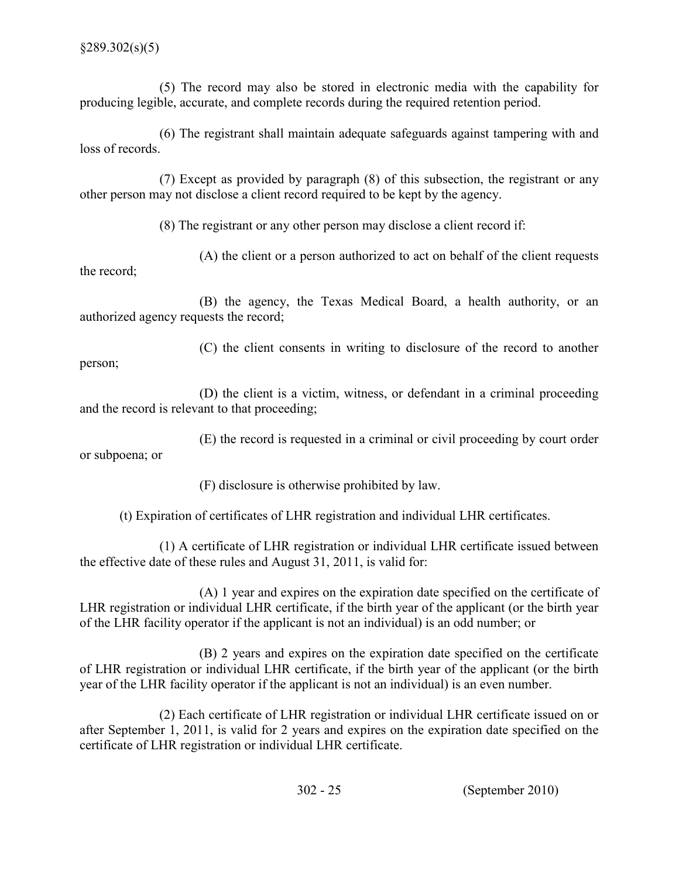(5) The record may also be stored in electronic media with the capability for producing legible, accurate, and complete records during the required retention period.

 (6) The registrant shall maintain adequate safeguards against tampering with and loss of records.

 (7) Except as provided by paragraph (8) of this subsection, the registrant or any other person may not disclose a client record required to be kept by the agency.

(8) The registrant or any other person may disclose a client record if:

 (A) the client or a person authorized to act on behalf of the client requests the record;

 (B) the agency, the Texas Medical Board, a health authority, or an authorized agency requests the record;

 (C) the client consents in writing to disclosure of the record to another person;

 and the record is relevant to that proceeding; (D) the client is a victim, witness, or defendant in a criminal proceeding

 (E) the record is requested in a criminal or civil proceeding by court order or subpoena; or

(F) disclosure is otherwise prohibited by law.

(t) Expiration of certificates of LHR registration and individual LHR certificates.

 (1) A certificate of LHR registration or individual LHR certificate issued between the effective date of these rules and August 31, 2011, is valid for:

 (A) 1 year and expires on the expiration date specified on the certificate of LHR registration or individual LHR certificate, if the birth year of the applicant (or the birth year of the LHR facility operator if the applicant is not an individual) is an odd number; or

 (B) 2 years and expires on the expiration date specified on the certificate year of the LHR facility operator if the applicant is not an individual) is an even number. of LHR registration or individual LHR certificate, if the birth year of the applicant (or the birth

 (2) Each certificate of LHR registration or individual LHR certificate issued on or after September 1, 2011, is valid for 2 years and expires on the expiration date specified on the certificate of LHR registration or individual LHR certificate.

302 25 (September 2010)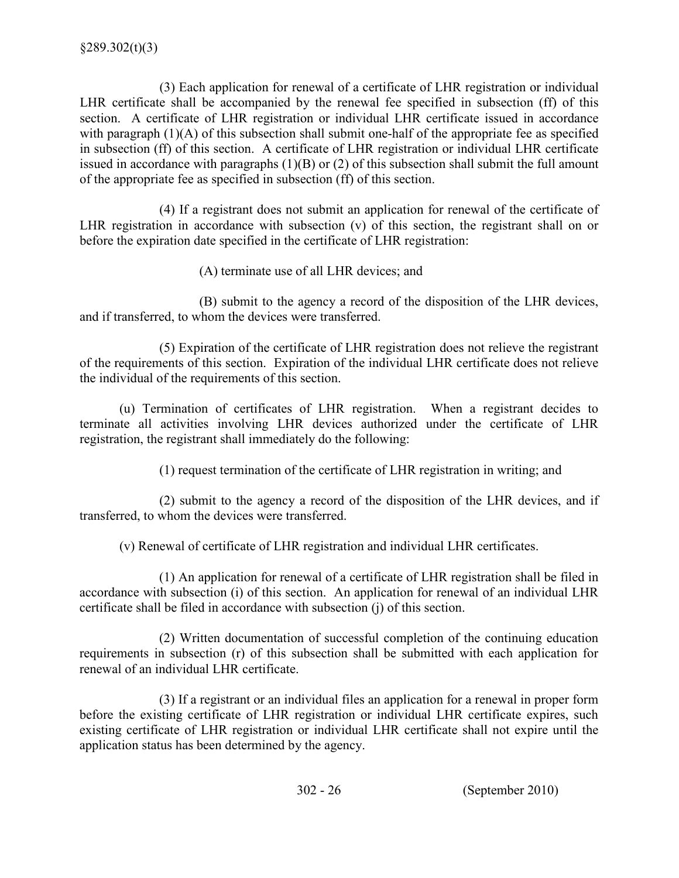(3) Each application for renewal of a certificate of LHR registration or individual LHR certificate shall be accompanied by the renewal fee specified in subsection (ff) of this section. A certificate of LHR registration or individual LHR certificate issued in accordance with paragraph  $(1)(A)$  of this subsection shall submit one-half of the appropriate fee as specified in subsection (ff) of this section. A certificate of LHR registration or individual LHR certificate issued in accordance with paragraphs  $(1)(B)$  or  $(2)$  of this subsection shall submit the full amount of the appropriate fee as specified in subsection (ff) of this section.

 (4) If a registrant does not submit an application for renewal of the certificate of LHR registration in accordance with subsection (v) of this section, the registrant shall on or before the expiration date specified in the certificate of LHR registration:

(A) terminate use of all LHR devices; and

 (B) submit to the agency a record of the disposition of the LHR devices, and if transferred, to whom the devices were transferred.

 (5) Expiration of the certificate of LHR registration does not relieve the registrant of the requirements of this section. Expiration of the individual LHR certificate does not relieve the individual of the requirements of this section.

 (u) Termination of certificates of LHR registration. When a registrant decides to terminate all activities involving LHR devices authorized under the certificate of LHR registration, the registrant shall immediately do the following:

(1) request termination of the certificate of LHR registration in writing; and

 (2) submit to the agency a record of the disposition of the LHR devices, and if transferred, to whom the devices were transferred.

(v) Renewal of certificate of LHR registration and individual LHR certificates.

 (1) An application for renewal of a certificate of LHR registration shall be filed in accordance with subsection (i) of this section. An application for renewal of an individual LHR certificate shall be filed in accordance with subsection (j) of this section.

 (2) Written documentation of successful completion of the continuing education requirements in subsection (r) of this subsection shall be submitted with each application for renewal of an individual LHR certificate.

 (3) If a registrant or an individual files an application for a renewal in proper form before the existing certificate of LHR registration or individual LHR certificate expires, such existing certificate of LHR registration or individual LHR certificate shall not expire until the application status has been determined by the agency.

302 26 (September 2010)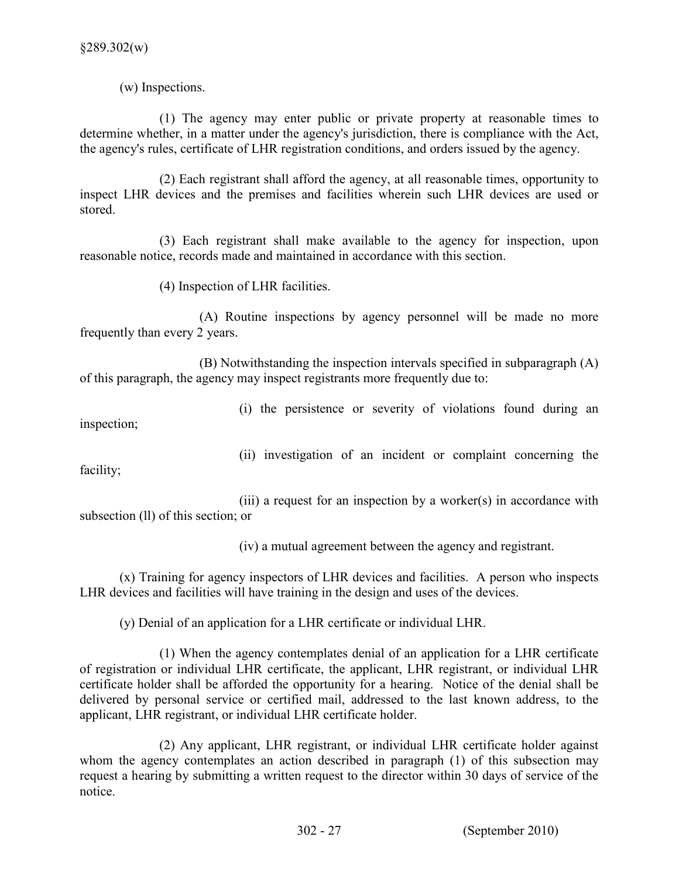(w) Inspections.

 (1) The agency may enter public or private property at reasonable times to determine whether, in a matter under the agency's jurisdiction, there is compliance with the Act, the agency's rules, certificate of LHR registration conditions, and orders issued by the agency.

 inspect LHR devices and the premises and facilities wherein such LHR devices are used or stored. (2) Each registrant shall afford the agency, at all reasonable times, opportunity to

 (3) Each registrant shall make available to the agency for inspection, upon reasonable notice, records made and maintained in accordance with this section.

(4) Inspection of LHR facilities.

 (A) Routine inspections by agency personnel will be made no more frequently than every 2 years.

 (B) Notwithstanding the inspection intervals specified in subparagraph (A) of this paragraph, the agency may inspect registrants more frequently due to:

(i) the persistence or severity of violations found during an

inspection;

(ii) investigation of an incident or complaint concerning the

facility;

 (iii) a request for an inspection by a worker(s) in accordance with subsection (ll) of this section; or

(iv) a mutual agreement between the agency and registrant.

 (x) Training for agency inspectors of LHR devices and facilities. A person who inspects LHR devices and facilities will have training in the design and uses of the devices.

(y) Denial of an application for a LHR certificate or individual LHR.

 (1) When the agency contemplates denial of an application for a LHR certificate of registration or individual LHR certificate, the applicant, LHR registrant, or individual LHR certificate holder shall be afforded the opportunity for a hearing. Notice of the denial shall be delivered by personal service or certified mail, addressed to the last known address, to the applicant, LHR registrant, or individual LHR certificate holder.

 (2) Any applicant, LHR registrant, or individual LHR certificate holder against whom the agency contemplates an action described in paragraph (1) of this subsection may request a hearing by submitting a written request to the director within 30 days of service of the notice.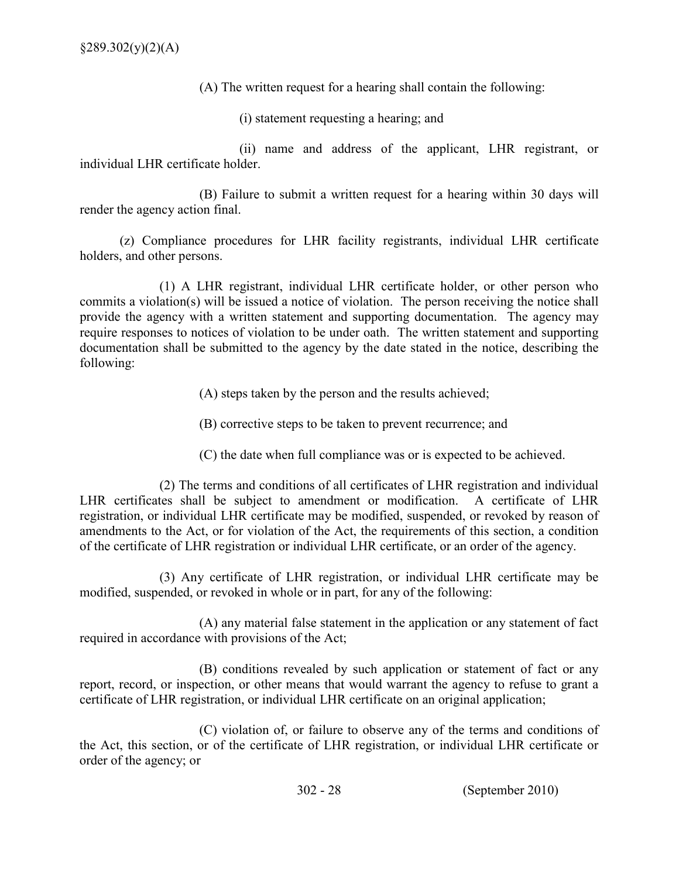(A) The written request for a hearing shall contain the following:

(i) statement requesting a hearing; and

 (ii) name and address of the applicant, LHR registrant, or individual LHR certificate holder.

 (B) Failure to submit a written request for a hearing within 30 days will render the agency action final.

 (z) Compliance procedures for LHR facility registrants, individual LHR certificate holders, and other persons.

 (1) A LHR registrant, individual LHR certificate holder, or other person who commits a violation(s) will be issued a notice of violation. The person receiving the notice shall provide the agency with a written statement and supporting documentation. The agency may require responses to notices of violation to be under oath. The written statement and supporting documentation shall be submitted to the agency by the date stated in the notice, describing the following:

(A) steps taken by the person and the results achieved;

(B) corrective steps to be taken to prevent recurrence; and

(C) the date when full compliance was or is expected to be achieved.

 (2) The terms and conditions of all certificates of LHR registration and individual LHR certificates shall be subject to amendment or modification. A certificate of LHR registration, or individual LHR certificate may be modified, suspended, or revoked by reason of amendments to the Act, or for violation of the Act, the requirements of this section, a condition of the certificate of LHR registration or individual LHR certificate, or an order of the agency.

 (3) Any certificate of LHR registration, or individual LHR certificate may be modified, suspended, or revoked in whole or in part, for any of the following:

 (A) any material false statement in the application or any statement of fact required in accordance with provisions of the Act;

 (B) conditions revealed by such application or statement of fact or any report, record, or inspection, or other means that would warrant the agency to refuse to grant a certificate of LHR registration, or individual LHR certificate on an original application;

 (C) violation of, or failure to observe any of the terms and conditions of the Act, this section, or of the certificate of LHR registration, or individual LHR certificate or order of the agency; or

302 28 (September 2010)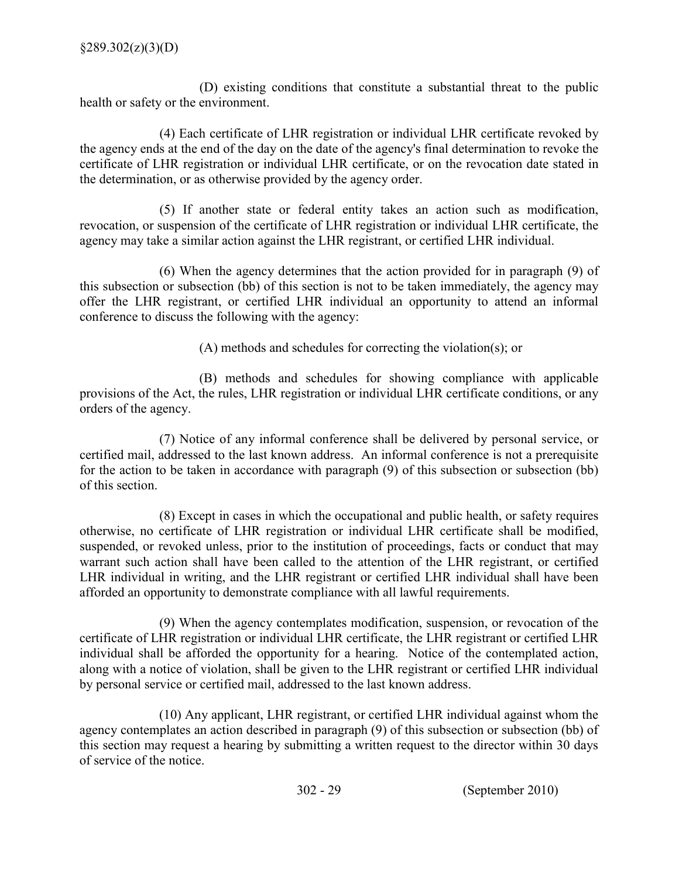(D) existing conditions that constitute a substantial threat to the public health or safety or the environment.

 (4) Each certificate of LHR registration or individual LHR certificate revoked by the agency ends at the end of the day on the date of the agency's final determination to revoke the certificate of LHR registration or individual LHR certificate, or on the revocation date stated in the determination, or as otherwise provided by the agency order.

 (5) If another state or federal entity takes an action such as modification, revocation, or suspension of the certificate of LHR registration or individual LHR certificate, the agency may take a similar action against the LHR registrant, or certified LHR individual.

 (6) When the agency determines that the action provided for in paragraph (9) of this subsection or subsection (bb) of this section is not to be taken immediately, the agency may offer the LHR registrant, or certified LHR individual an opportunity to attend an informal conference to discuss the following with the agency:

(A) methods and schedules for correcting the violation(s); or

 (B) methods and schedules for showing compliance with applicable provisions of the Act, the rules, LHR registration or individual LHR certificate conditions, or any orders of the agency.

 (7) Notice of any informal conference shall be delivered by personal service, or certified mail, addressed to the last known address. An informal conference is not a prerequisite for the action to be taken in accordance with paragraph (9) of this subsection or subsection (bb) of this section.

 (8) Except in cases in which the occupational and public health, or safety requires otherwise, no certificate of LHR registration or individual LHR certificate shall be modified, suspended, or revoked unless, prior to the institution of proceedings, facts or conduct that may warrant such action shall have been called to the attention of the LHR registrant, or certified LHR individual in writing, and the LHR registrant or certified LHR individual shall have been afforded an opportunity to demonstrate compliance with all lawful requirements.

 (9) When the agency contemplates modification, suspension, or revocation of the certificate of LHR registration or individual LHR certificate, the LHR registrant or certified LHR individual shall be afforded the opportunity for a hearing. Notice of the contemplated action, along with a notice of violation, shall be given to the LHR registrant or certified LHR individual by personal service or certified mail, addressed to the last known address.

 (10) Any applicant, LHR registrant, or certified LHR individual against whom the agency contemplates an action described in paragraph (9) of this subsection or subsection (bb) of this section may request a hearing by submitting a written request to the director within 30 days of service of the notice.

302 29 (September 2010)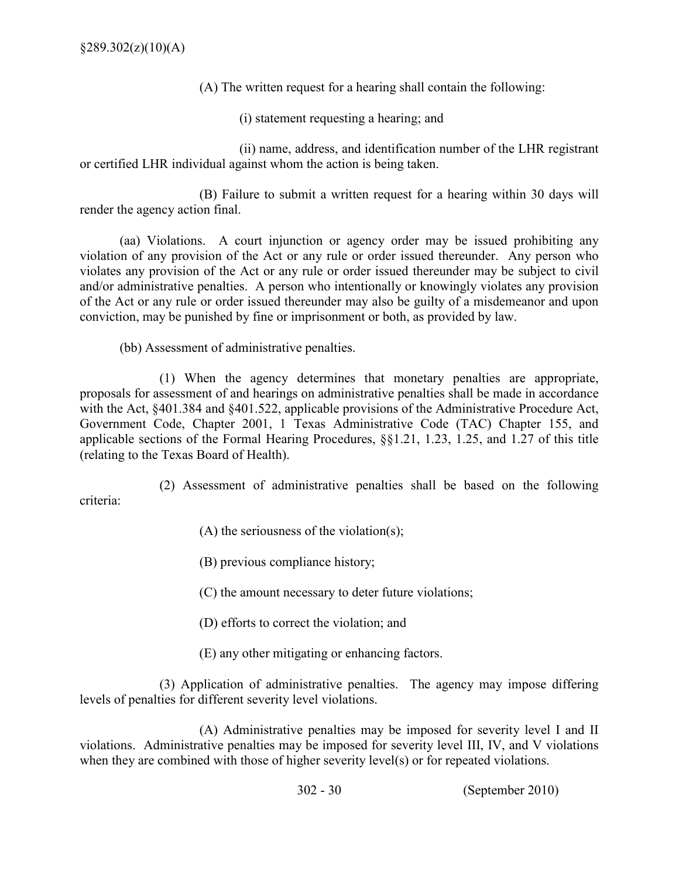(A) The written request for a hearing shall contain the following:

(i) statement requesting a hearing; and

 (ii) name, address, and identification number of the LHR registrant or certified LHR individual against whom the action is being taken.

 (B) Failure to submit a written request for a hearing within 30 days will render the agency action final.

 (aa) Violations. A court injunction or agency order may be issued prohibiting any violation of any provision of the Act or any rule or order issued thereunder. Any person who violates any provision of the Act or any rule or order issued thereunder may be subject to civil and/or administrative penalties. A person who intentionally or knowingly violates any provision of the Act or any rule or order issued thereunder may also be guilty of a misdemeanor and upon conviction, may be punished by fine or imprisonment or both, as provided by law.

(bb) Assessment of administrative penalties.

 (1) When the agency determines that monetary penalties are appropriate, proposals for assessment of and hearings on administrative penalties shall be made in accordance with the Act, §401.384 and §401.522, applicable provisions of the Administrative Procedure Act, Government Code, Chapter 2001, 1 Texas Administrative Code (TAC) Chapter 155, and applicable sections of the Formal Hearing Procedures, §§1.21, 1.23, 1.25, and 1.27 of this title (relating to the Texas Board of Health).

 (2) Assessment of administrative penalties shall be based on the following criteria:

 $(A)$  the seriousness of the violation(s);

(B) previous compliance history;

(C) the amount necessary to deter future violations;

(D) efforts to correct the violation; and

(E) any other mitigating or enhancing factors.

 (3) Application of administrative penalties. The agency may impose differing levels of penalties for different severity level violations.

 (A) Administrative penalties may be imposed for severity level I and II violations. Administrative penalties may be imposed for severity level III, IV, and V violations when they are combined with those of higher severity level(s) or for repeated violations.

302 30 (September 2010)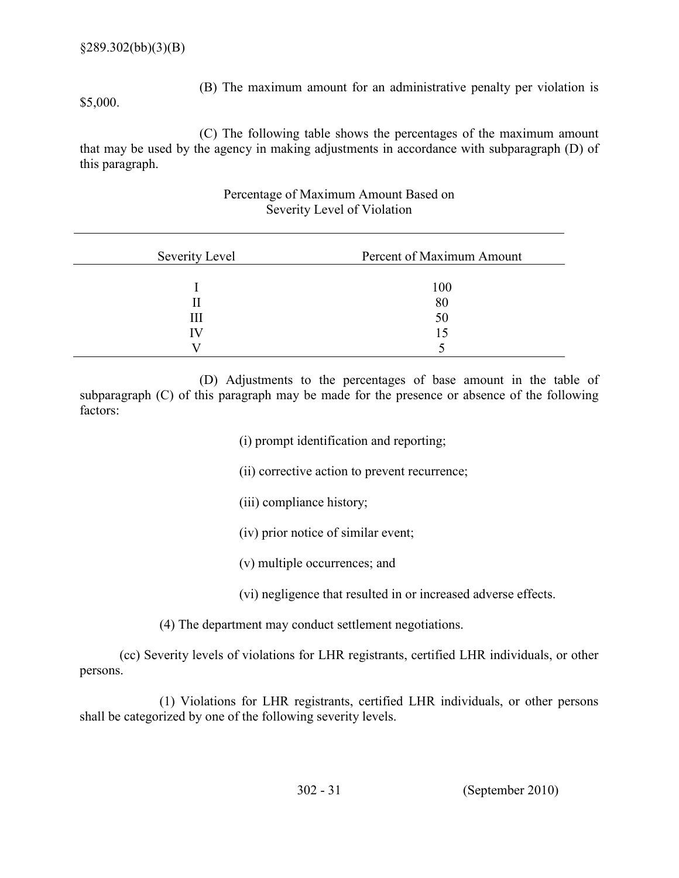(B) The maximum amount for an administrative penalty per violation is

\$5,000.

 (C) The following table shows the percentages of the maximum amount that may be used by the agency in making adjustments in accordance with subparagraph (D) of this paragraph.

## Percentage of Maximum Amount Based on Severity Level of Violation

| Severity Level | Percent of Maximum Amount |
|----------------|---------------------------|
|                | 100                       |
|                | 80                        |
| Ш              | 50                        |
| ΙV             |                           |
|                |                           |

 (D) Adjustments to the percentages of base amount in the table of subparagraph (C) of this paragraph may be made for the presence or absence of the following factors:

- (i) prompt identification and reporting;
- (ii) corrective action to prevent recurrence;
- (iii) compliance history;
- (iv) prior notice of similar event;
- (v) multiple occurrences; and
- (vi) negligence that resulted in or increased adverse effects.
- (4) The department may conduct settlement negotiations.

 (cc) Severity levels of violations for LHR registrants, certified LHR individuals, or other persons.

 (1) Violations for LHR registrants, certified LHR individuals, or other persons shall be categorized by one of the following severity levels.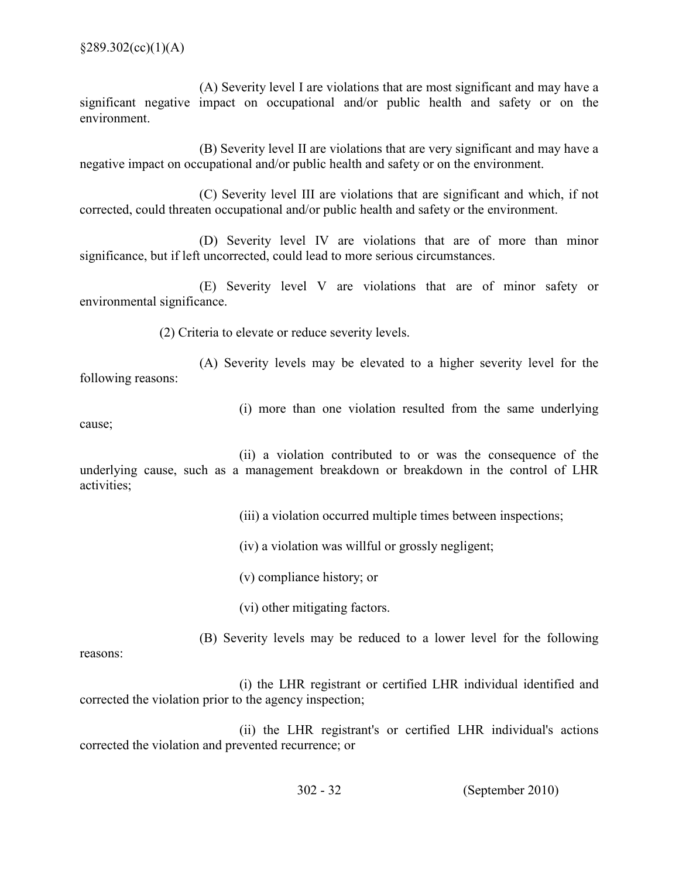(A) Severity level I are violations that are most significant and may have a significant negative impact on occupational and/or public health and safety or on the environment.

 (B) Severity level II are violations that are very significant and may have a negative impact on occupational and/or public health and safety or on the environment.

 (C) Severity level III are violations that are significant and which, if not corrected, could threaten occupational and/or public health and safety or the environment.

 (D) Severity level IV are violations that are of more than minor significance, but if left uncorrected, could lead to more serious circumstances.

 (E) Severity level V are violations that are of minor safety or environmental significance.

(2) Criteria to elevate or reduce severity levels.

 (A) Severity levels may be elevated to a higher severity level for the following reasons:

(i) more than one violation resulted from the same underlying

cause;

 (ii) a violation contributed to or was the consequence of the underlying cause, such as a management breakdown or breakdown in the control of LHR activities;

(iii) a violation occurred multiple times between inspections;

(iv) a violation was willful or grossly negligent;

(v) compliance history; or

(vi) other mitigating factors.

(B) Severity levels may be reduced to a lower level for the following

reasons:

 (i) the LHR registrant or certified LHR individual identified and corrected the violation prior to the agency inspection;

 (ii) the LHR registrant's or certified LHR individual's actions corrected the violation and prevented recurrence; or

302 32 (September 2010)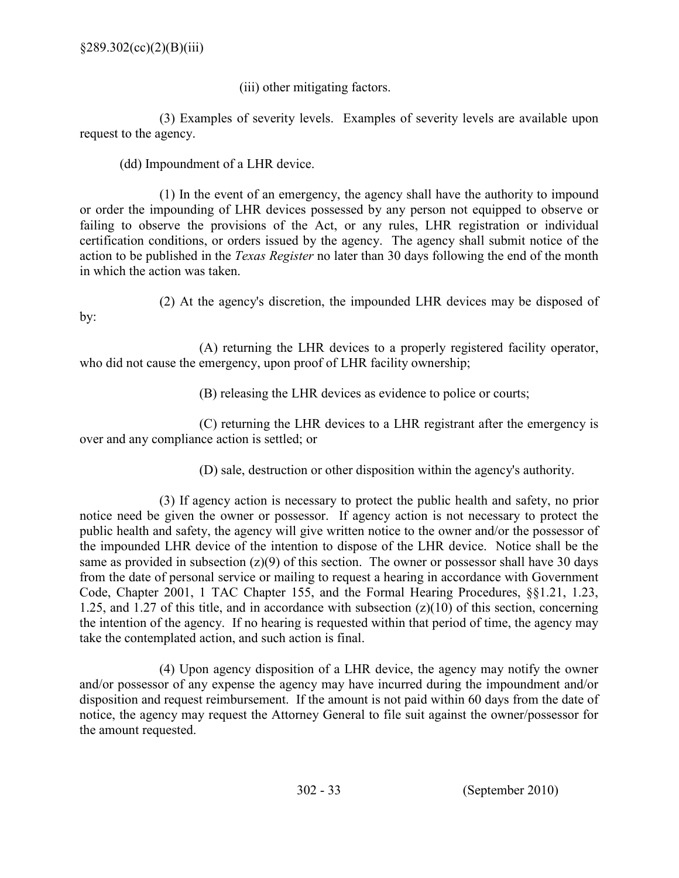(iii) other mitigating factors.

 (3) Examples of severity levels. Examples of severity levels are available upon request to the agency.

(dd) Impoundment of a LHR device.

 (1) In the event of an emergency, the agency shall have the authority to impound or order the impounding of LHR devices possessed by any person not equipped to observe or failing to observe the provisions of the Act, or any rules, LHR registration or individual certification conditions, or orders issued by the agency. The agency shall submit notice of the action to be published in the *Texas Register* no later than 30 days following the end of the month in which the action was taken.

(2) At the agency's discretion, the impounded LHR devices may be disposed of

by:

 (A) returning the LHR devices to a properly registered facility operator, who did not cause the emergency, upon proof of LHR facility ownership;

(B) releasing the LHR devices as evidence to police or courts;

 (C) returning the LHR devices to a LHR registrant after the emergency is over and any compliance action is settled; or

(D) sale, destruction or other disposition within the agency's authority.

 (3) If agency action is necessary to protect the public health and safety, no prior notice need be given the owner or possessor. If agency action is not necessary to protect the public health and safety, the agency will give written notice to the owner and/or the possessor of the impounded LHR device of the intention to dispose of the LHR device. Notice shall be the same as provided in subsection  $(z)(9)$  of this section. The owner or possessor shall have 30 days from the date of personal service or mailing to request a hearing in accordance with Government Code, Chapter 2001, 1 TAC Chapter 155, and the Formal Hearing Procedures, §§1.21, 1.23, 1.25, and 1.27 of this title, and in accordance with subsection (z)(10) of this section, concerning the intention of the agency. If no hearing is requested within that period of time, the agency may take the contemplated action, and such action is final.

 (4) Upon agency disposition of a LHR device, the agency may notify the owner and/or possessor of any expense the agency may have incurred during the impoundment and/or disposition and request reimbursement. If the amount is not paid within 60 days from the date of notice, the agency may request the Attorney General to file suit against the owner/possessor for the amount requested.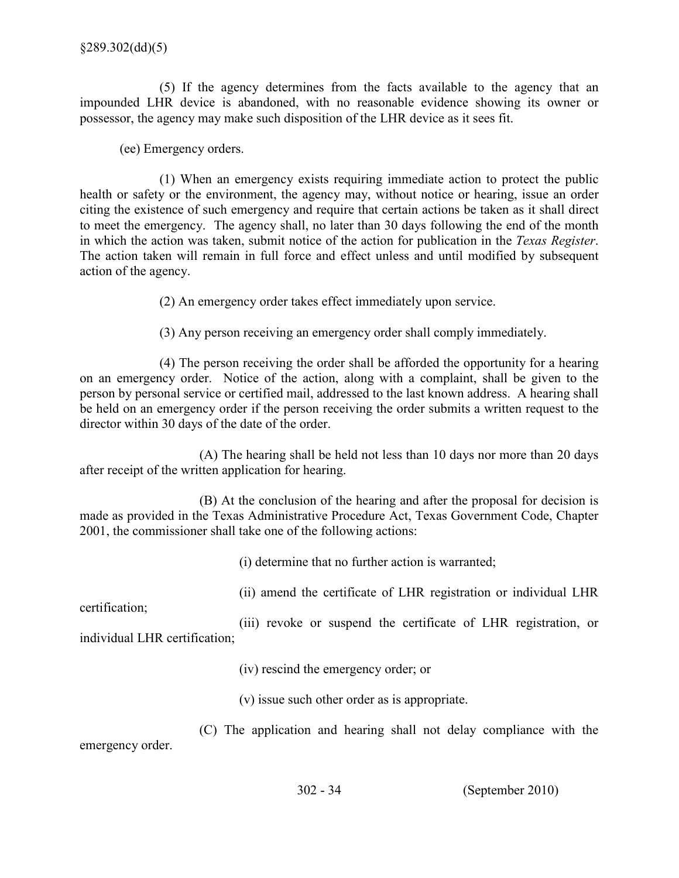(5) If the agency determines from the facts available to the agency that an impounded LHR device is abandoned, with no reasonable evidence showing its owner or possessor, the agency may make such disposition of the LHR device as it sees fit.

(ee) Emergency orders.

 (1) When an emergency exists requiring immediate action to protect the public health or safety or the environment, the agency may, without notice or hearing, issue an order citing the existence of such emergency and require that certain actions be taken as it shall direct to meet the emergency. The agency shall, no later than 30 days following the end of the month in which the action was taken, submit notice of the action for publication in the Texas Register. The action taken will remain in full force and effect unless and until modified by subsequent action of the agency.

(2) An emergency order takes effect immediately upon service.

(3) Any person receiving an emergency order shall comply immediately.

 (4) The person receiving the order shall be afforded the opportunity for a hearing on an emergency order. Notice of the action, along with a complaint, shall be given to the person by personal service or certified mail, addressed to the last known address. A hearing shall be held on an emergency order if the person receiving the order submits a written request to the director within 30 days of the date of the order.

 (A) The hearing shall be held not less than 10 days nor more than 20 days after receipt of the written application for hearing.

 (B) At the conclusion of the hearing and after the proposal for decision is made as provided in the Texas Administrative Procedure Act, Texas Government Code, Chapter 2001, the commissioner shall take one of the following actions:

(i) determine that no further action is warranted;

(ii) amend the certificate of LHR registration or individual LHR

certification;

 (iii) revoke or suspend the certificate of LHR registration, or individual LHR certification;

(iv) rescind the emergency order; or

(v) issue such other order as is appropriate.

 (C) The application and hearing shall not delay compliance with the emergency order.

302 34 (September 2010)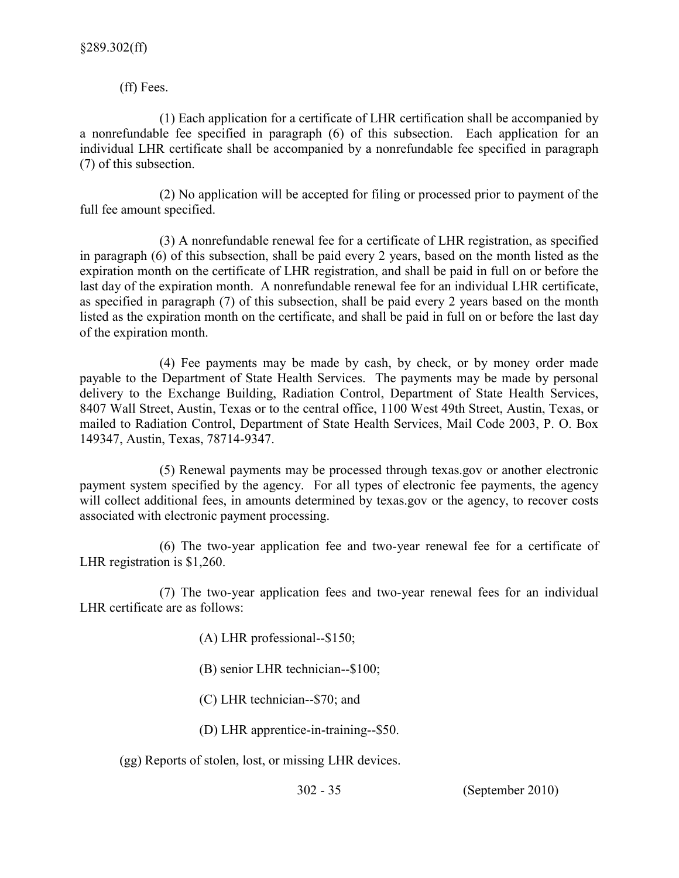(ff) Fees.

 (1) Each application for a certificate of LHR certification shall be accompanied by a nonrefundable fee specified in paragraph (6) of this subsection. Each application for an individual LHR certificate shall be accompanied by a nonrefundable fee specified in paragraph (7) of this subsection.

 (2) No application will be accepted for filing or processed prior to payment of the full fee amount specified.

 (3) A nonrefundable renewal fee for a certificate of LHR registration, as specified in paragraph (6) of this subsection, shall be paid every 2 years, based on the month listed as the expiration month on the certificate of LHR registration, and shall be paid in full on or before the last day of the expiration month. A nonrefundable renewal fee for an individual LHR certificate, as specified in paragraph (7) of this subsection, shall be paid every 2 years based on the month listed as the expiration month on the certificate, and shall be paid in full on or before the last day of the expiration month.

 (4) Fee payments may be made by cash, by check, or by money order made payable to the Department of State Health Services. The payments may be made by personal delivery to the Exchange Building, Radiation Control, Department of State Health Services, 8407 Wall Street, Austin, Texas or to the central office, 1100 West 49th Street, Austin, Texas, or mailed to Radiation Control, Department of State Health Services, Mail Code 2003, P. O. Box 149347, Austin, Texas, 78714-9347.

 (5) Renewal payments may be processed through texas.gov or another electronic payment system specified by the agency. For all types of electronic fee payments, the agency will collect additional fees, in amounts determined by texas.gov or the agency, to recover costs associated with electronic payment processing.

(6) The two-year application fee and two-year renewal fee for a certificate of LHR registration is \$1,260.

(7) The two-year application fees and two-year renewal fees for an individual LHR certificate are as follows:

- (A) LHR professional--\$150;
- (B) senior LHR technician-- $$100;$
- $(C)$  LHR technician--\$70; and
- (D) LHR apprentice-in-training--\$50.

(gg) Reports of stolen, lost, or missing LHR devices.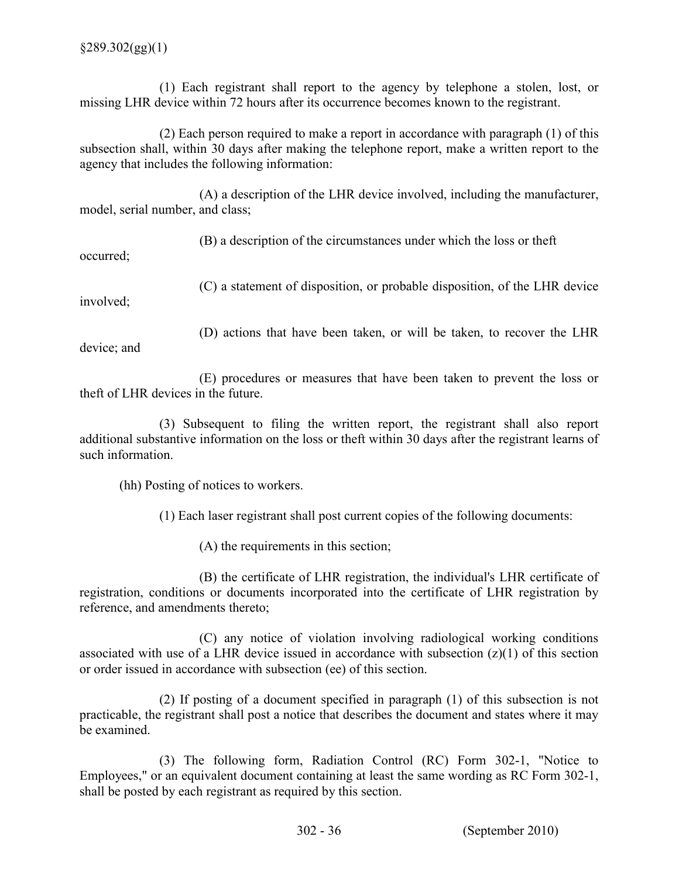(1) Each registrant shall report to the agency by telephone a stolen, lost, or missing LHR device within 72 hours after its occurrence becomes known to the registrant.

 (2) Each person required to make a report in accordance with paragraph (1) of this subsection shall, within 30 days after making the telephone report, make a written report to the agency that includes the following information:

 (A) a description of the LHR device involved, including the manufacturer, model, serial number, and class;

(B) a description of the circumstances under which the loss or theft

occurred;

(C) a statement of disposition, or probable disposition, of the LHR device

involved;

(D) actions that have been taken, or will be taken, to recover the LHR

device; and

 (E) procedures or measures that have been taken to prevent the loss or theft of LHR devices in the future.

 (3) Subsequent to filing the written report, the registrant shall also report additional substantive information on the loss or theft within 30 days after the registrant learns of such information.

(hh) Posting of notices to workers.

(1) Each laser registrant shall post current copies of the following documents:

(A) the requirements in this section;

 registration, conditions or documents incorporated into the certificate of LHR registration by reference, and amendments thereto; (B) the certificate of LHR registration, the individual's LHR certificate of

 (C) any notice of violation involving radiological working conditions associated with use of a LHR device issued in accordance with subsection  $(z)(1)$  of this section or order issued in accordance with subsection (ee) of this section.

 (2) If posting of a document specified in paragraph (1) of this subsection is not practicable, the registrant shall post a notice that describes the document and states where it may be examined.

 (3) The following form, Radiation Control (RC) Form 3021, "Notice to Employees," or an equivalent document containing at least the same wording as RC Form 302-1, shall be posted by each registrant as required by this section.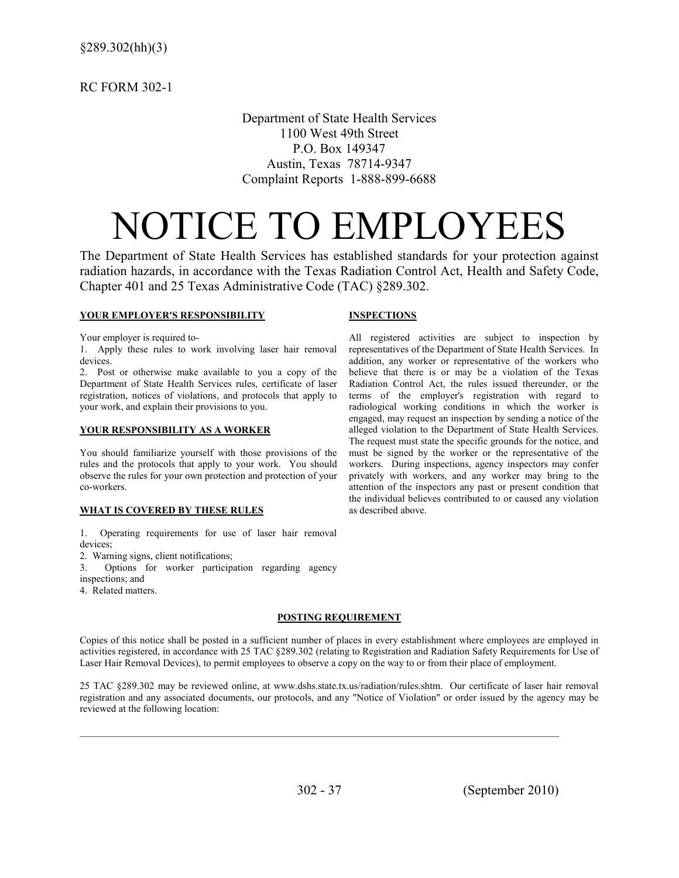RC FORM 3021

 Department of State Health Services 1100 West 49th Street P.O. Box 149347 Austin, Texas 78714-9347 Complaint Reports 1-888-899-6688

# NOTICE TO EMPLOYEES

 The Department of State Health Services has established standards for your protection against radiation hazards, in accordance with the Texas Radiation Control Act, Health and Safety Code, Chapter 401 and 25 Texas Administrative Code (TAC) §289.302.

## **YOUR EMPLOYER'S RESPONSIBILITY INSPECTIONS**

as described above.

representatives of the Department of State Health Services. In

believe that there is or may be a violation of the Texas Radiation Control Act, the rules issued thereunder, or the terms of the employer's registration with regard to

engaged, may request an inspection by sending a notice of the

 The request must state the specific grounds for the notice, and must be signed by the worker or the representative of the workers. During inspections, agency inspectors may confer privately with workers, and any worker may bring to the

the individual believes contributed to or caused any violation

Your employer is required to-Your employer is required to-<br>All registered activities are subject to inspection by

 1. Apply these rules to work involving laser hair removal representatives of the Department of State Health Services. In devices. addition, any worker or representative of the workers who

 2. Post or otherwise make available to you a copy of the believe that there is or may be a violation of the Texas Department of State Health Services rules, certificate of laser Radiation Control Act, the rules issued thereunder, or the registration, notices of violations, and protocols that apply to terms of the employer's registration with regard to your work, and explain their provisions to you. your work, and explain their provisions to you. radiological working conditions in which the worker is

## YOUR RESPONSIBILITY AS A WORKER **YOUR RESPONSIBILITY AS A WORKER** alleged violation to the Department of State Health Services.

 You should familiarize yourself with those provisions of the must be signed by the worker or the representative of the rules and the protocols that apply to your work. You should workers. During inspections, agency inspectors may confer observe the rules for your own protection and protection of your privately with workers, and any worker may bring to the coworkers. attention of the inspectors any past or present condition that

## WHAT IS COVERED BY THESE RULES as described above.

- 1. Operating requirements for use of laser hair removal devices;
- 2. Warning signs, client notifications;
- 3. Options for worker participation regarding agency inspections; and
- 4. Related matters.

## POSTING REQUIREMENT

 Copies of this notice shall be posted in a sufficient number of places in every establishment where employees are employed in activities registered, in accordance with 25 TAC §289.302 (relating to Registration and Radiation Safety Requirements for Use of Laser Hair Removal Devices), to permit employees to observe a copy on the way to or from their place of employment.

 25 TAC §289.302 may be reviewed online, at www.dshs.state.tx.us/radiation/rules.shtm. Our certificate of laser hair removal registration and any associated documents, our protocols, and any "Notice of Violation" or order issued by the agency may be reviewed at the following location:

 $\_$  , and the set of the set of the set of the set of the set of the set of the set of the set of the set of the set of the set of the set of the set of the set of the set of the set of the set of the set of the set of th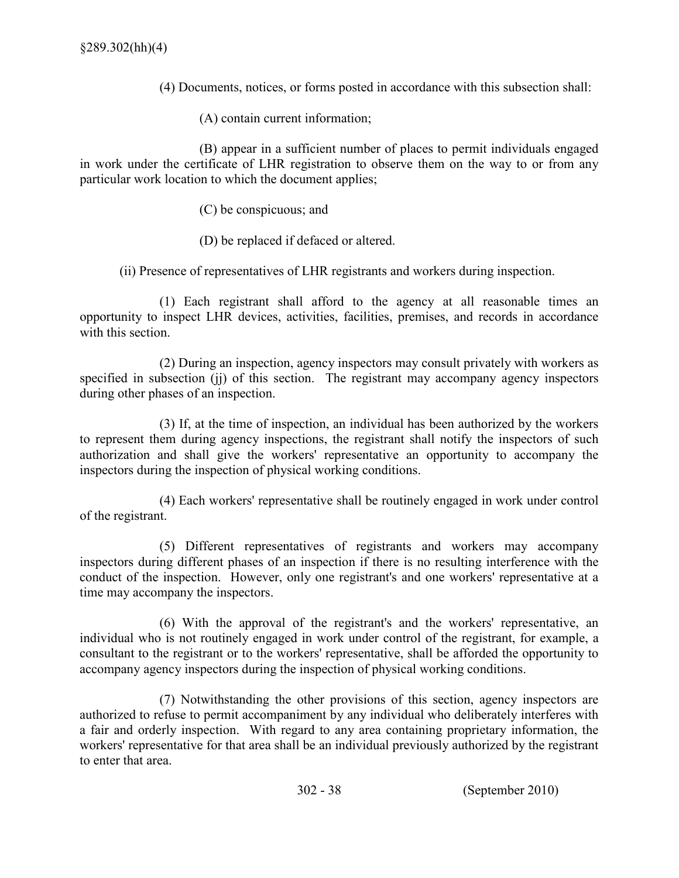- (4) Documents, notices, or forms posted in accordance with this subsection shall:
- (A) contain current information;

 (B) appear in a sufficient number of places to permit individuals engaged in work under the certificate of LHR registration to observe them on the way to or from any particular work location to which the document applies;

- (C) be conspicuous; and
- (D) be replaced if defaced or altered.

(ii) Presence of representatives of LHR registrants and workers during inspection.

 (1) Each registrant shall afford to the agency at all reasonable times an opportunity to inspect LHR devices, activities, facilities, premises, and records in accordance with this section.

 (2) During an inspection, agency inspectors may consult privately with workers as specified in subsection (jj) of this section. The registrant may accompany agency inspectors during other phases of an inspection.

 (3) If, at the time of inspection, an individual has been authorized by the workers to represent them during agency inspections, the registrant shall notify the inspectors of such authorization and shall give the workers' representative an opportunity to accompany the inspectors during the inspection of physical working conditions.

 (4) Each workers' representative shall be routinely engaged in work under control of the registrant.

 (5) Different representatives of registrants and workers may accompany inspectors during different phases of an inspection if there is no resulting interference with the conduct of the inspection. However, only one registrant's and one workers' representative at a time may accompany the inspectors.

 (6) With the approval of the registrant's and the workers' representative, an individual who is not routinely engaged in work under control of the registrant, for example, a consultant to the registrant or to the workers' representative, shall be afforded the opportunity to accompany agency inspectors during the inspection of physical working conditions.

 (7) Notwithstanding the other provisions of this section, agency inspectors are authorized to refuse to permit accompaniment by any individual who deliberately interferes with a fair and orderly inspection. With regard to any area containing proprietary information, the workers' representative for that area shall be an individual previously authorized by the registrant to enter that area.

302 38 (September 2010)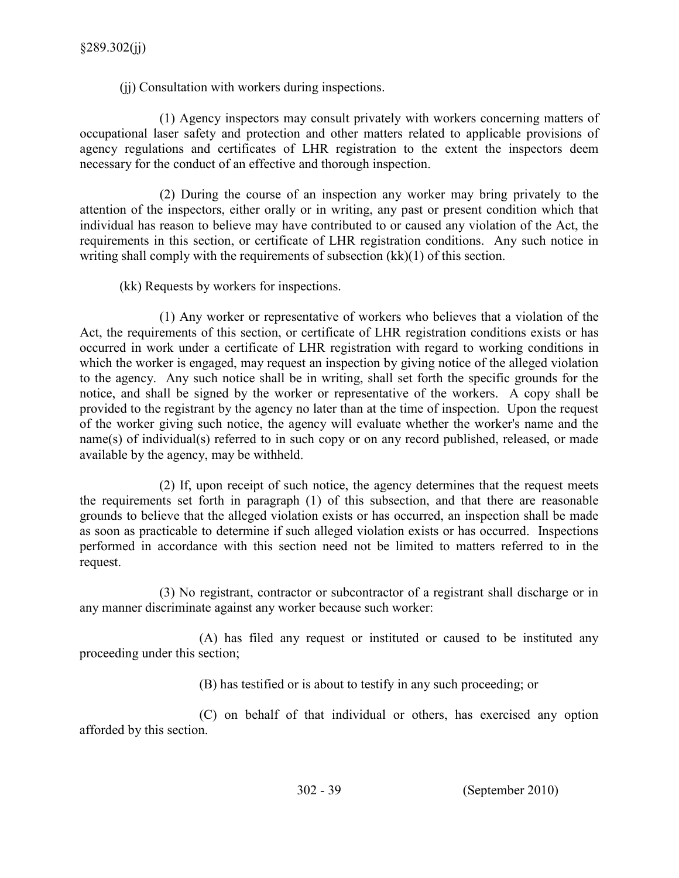(jj) Consultation with workers during inspections.

 (1) Agency inspectors may consult privately with workers concerning matters of occupational laser safety and protection and other matters related to applicable provisions of agency regulations and certificates of LHR registration to the extent the inspectors deem necessary for the conduct of an effective and thorough inspection.

 (2) During the course of an inspection any worker may bring privately to the attention of the inspectors, either orally or in writing, any past or present condition which that individual has reason to believe may have contributed to or caused any violation of the Act, the requirements in this section, or certificate of LHR registration conditions. Any such notice in writing shall comply with the requirements of subsection (kk)(1) of this section.

(kk) Requests by workers for inspections.

 (1) Any worker or representative of workers who believes that a violation of the Act, the requirements of this section, or certificate of LHR registration conditions exists or has occurred in work under a certificate of LHR registration with regard to working conditions in which the worker is engaged, may request an inspection by giving notice of the alleged violation to the agency. Any such notice shall be in writing, shall set forth the specific grounds for the notice, and shall be signed by the worker or representative of the workers. A copy shall be provided to the registrant by the agency no later than at the time of inspection. Upon the request of the worker giving such notice, the agency will evaluate whether the worker's name and the name(s) of individual(s) referred to in such copy or on any record published, released, or made available by the agency, may be withheld.

 (2) If, upon receipt of such notice, the agency determines that the request meets the requirements set forth in paragraph (1) of this subsection, and that there are reasonable grounds to believe that the alleged violation exists or has occurred, an inspection shall be made as soon as practicable to determine if such alleged violation exists or has occurred. Inspections performed in accordance with this section need not be limited to matters referred to in the request.

 (3) No registrant, contractor or subcontractor of a registrant shall discharge or in any manner discriminate against any worker because such worker:

 (A) has filed any request or instituted or caused to be instituted any proceeding under this section;

(B) has testified or is about to testify in any such proceeding; or

 (C) on behalf of that individual or others, has exercised any option afforded by this section.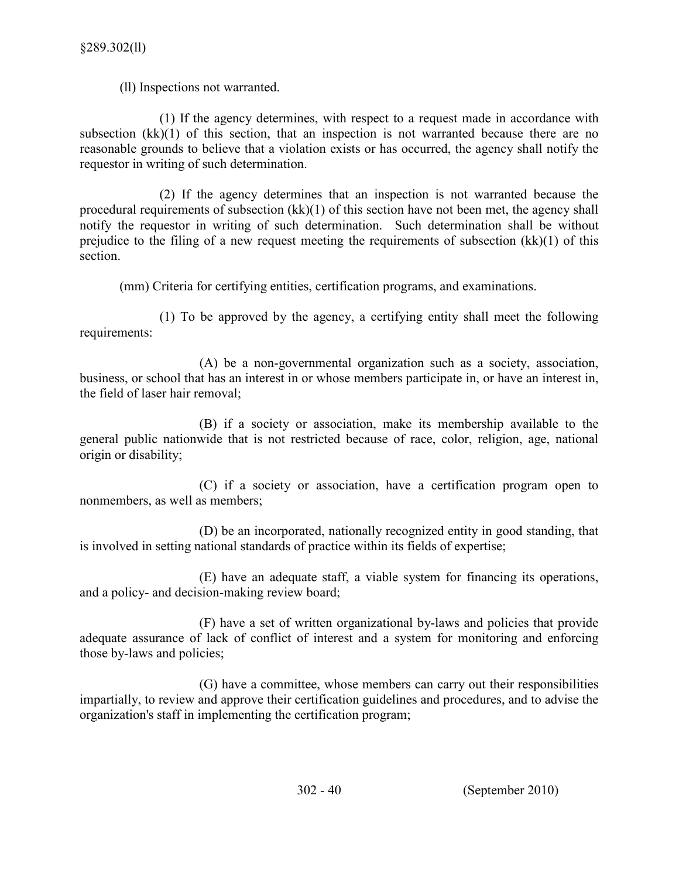(ll) Inspections not warranted.

 (1) If the agency determines, with respect to a request made in accordance with subsection (kk)(1) of this section, that an inspection is not warranted because there are no reasonable grounds to believe that a violation exists or has occurred, the agency shall notify the requestor in writing of such determination.

 (2) If the agency determines that an inspection is not warranted because the procedural requirements of subsection (kk)(1) of this section have not been met, the agency shall notify the requestor in writing of such determination. Such determination shall be without prejudice to the filing of a new request meeting the requirements of subsection (kk)(1) of this section.

(mm) Criteria for certifying entities, certification programs, and examinations.

 (1) To be approved by the agency, a certifying entity shall meet the following requirements:

(A) be a non-governmental organization such as a society, association, business, or school that has an interest in or whose members participate in, or have an interest in, the field of laser hair removal;

 (B) if a society or association, make its membership available to the general public nationwide that is not restricted because of race, color, religion, age, national origin or disability;

 (C) if a society or association, have a certification program open to nonmembers, as well as members;

 (D) be an incorporated, nationally recognized entity in good standing, that is involved in setting national standards of practice within its fields of expertise;

 (E) have an adequate staff, a viable system for financing its operations, and a policy- and decision-making review board;

(F) have a set of written organizational by-laws and policies that provide adequate assurance of lack of conflict of interest and a system for monitoring and enforcing those by-laws and policies;

 (G) have a committee, whose members can carry out their responsibilities impartially, to review and approve their certification guidelines and procedures, and to advise the organization's staff in implementing the certification program;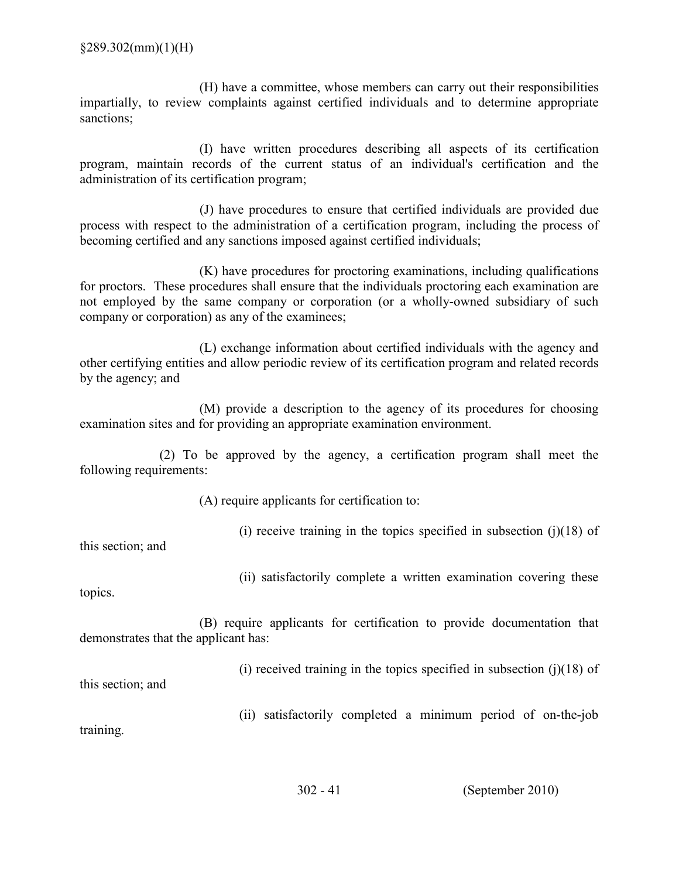(H) have a committee, whose members can carry out their responsibilities impartially, to review complaints against certified individuals and to determine appropriate sanctions;

 (I) have written procedures describing all aspects of its certification program, maintain records of the current status of an individual's certification and the administration of its certification program;

 (J) have procedures to ensure that certified individuals are provided due process with respect to the administration of a certification program, including the process of becoming certified and any sanctions imposed against certified individuals;

 (K) have procedures for proctoring examinations, including qualifications for proctors. These procedures shall ensure that the individuals proctoring each examination are not employed by the same company or corporation (or a wholly-owned subsidiary of such company or corporation) as any of the examinees;

 (L) exchange information about certified individuals with the agency and other certifying entities and allow periodic review of its certification program and related records by the agency; and

 (M) provide a description to the agency of its procedures for choosing examination sites and for providing an appropriate examination environment.

 (2) To be approved by the agency, a certification program shall meet the following requirements:

(A) require applicants for certification to:

(i) receive training in the topics specified in subsection  $(j)(18)$  of

this section; and

(ii) satisfactorily complete a written examination covering these

topics.

 (B) require applicants for certification to provide documentation that demonstrates that the applicant has:

(i) received training in the topics specified in subsection  $(j)(18)$  of

this section; and

(ii) satisfactorily completed a minimum period of on-the-job

training.

302 41 (September 2010)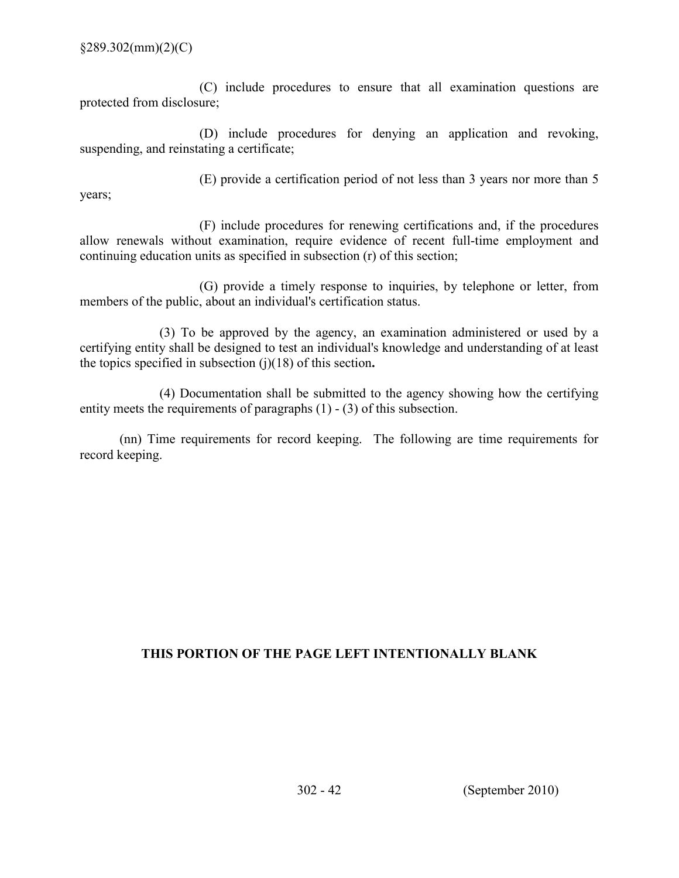(C) include procedures to ensure that all examination questions are protected from disclosure;

 (D) include procedures for denying an application and revoking, suspending, and reinstating a certificate;

(E) provide a certification period of not less than 3 years nor more than 5

years;

 (F) include procedures for renewing certifications and, if the procedures allow renewals without examination, require evidence of recent full-time employment and continuing education units as specified in subsection (r) of this section;

 (G) provide a timely response to inquiries, by telephone or letter, from members of the public, about an individual's certification status.

 (3) To be approved by the agency, an examination administered or used by a certifying entity shall be designed to test an individual's knowledge and understanding of at least the topics specified in subsection  $(j)(18)$  of this section.

 (4) Documentation shall be submitted to the agency showing how the certifying entity meets the requirements of paragraphs  $(1) - (3)$  of this subsection.

 (nn) Time requirements for record keeping. The following are time requirements for record keeping.

## THIS PORTION OF THE PAGE LEFT INTENTIONALLY BLANK